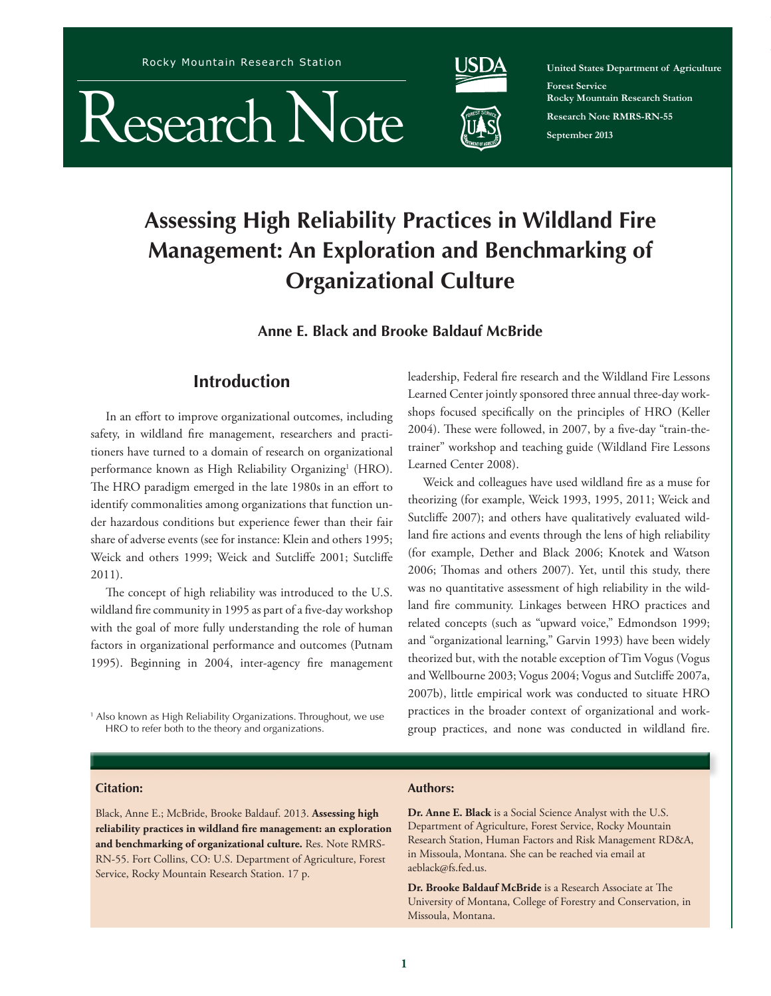Rocky Mountain Research Station





**United States Department of Agriculture Forest Service Rocky Mountain Research Station Research Note RMRS-RN-55 September 2013**

Research Note RMRS-RN-55. 2013

# **Assessing High Reliability Practices in Wildland Fire Management: An Exploration and Benchmarking of Organizational Culture**

**Anne E. Black and Brooke Baldauf McBride**

## **Introduction**

In an effort to improve organizational outcomes, including safety, in wildland fire management, researchers and practitioners have turned to a domain of research on organizational performance known as High Reliability Organizing<sup>1</sup> (HRO). The HRO paradigm emerged in the late 1980s in an effort to identify commonalities among organizations that function under hazardous conditions but experience fewer than their fair share of adverse events (see for instance: Klein and others 1995; Weick and others 1999; Weick and Sutcliffe 2001; Sutcliffe 2011).

The concept of high reliability was introduced to the U.S. wildland fire community in 1995 as part of a five-day workshop with the goal of more fully understanding the role of human factors in organizational performance and outcomes (Putnam 1995). Beginning in 2004, inter-agency fire management

1 Also known as High Reliability Organizations. Throughout, we use HRO to refer both to the theory and organizations.

leadership, Federal fire research and the Wildland Fire Lessons Learned Center jointly sponsored three annual three-day workshops focused specifically on the principles of HRO (Keller 2004). These were followed, in 2007, by a five-day "train-thetrainer" workshop and teaching guide (Wildland Fire Lessons Learned Center 2008).

Weick and colleagues have used wildland fire as a muse for theorizing (for example, Weick 1993, 1995, 2011; Weick and Sutcliffe 2007); and others have qualitatively evaluated wildland fire actions and events through the lens of high reliability (for example, Dether and Black 2006; Knotek and Watson 2006; Thomas and others 2007). Yet, until this study, there was no quantitative assessment of high reliability in the wildland fire community. Linkages between HRO practices and related concepts (such as "upward voice," Edmondson 1999; and "organizational learning," Garvin 1993) have been widely theorized but, with the notable exception of Tim Vogus (Vogus and Wellbourne 2003; Vogus 2004; Vogus and Sutcliffe 2007a, 2007b), little empirical work was conducted to situate HRO practices in the broader context of organizational and workgroup practices, and none was conducted in wildland fire.

#### **Citation:**

Black, Anne E.; McBride, Brooke Baldauf. 2013. **Assessing high reliability practices in wildland fire management: an exploration and benchmarking of organizational culture.** Res. Note RMRS-RN-55. Fort Collins, CO: U.S. Department of Agriculture, Forest Service, Rocky Mountain Research Station. 17 p.

## **Authors:**

**Dr. Anne E. Black** is a Social Science Analyst with the U.S. Department of Agriculture, Forest Service, Rocky Mountain Research Station, Human Factors and Risk Management RD&A, in Missoula, Montana. She can be reached via email at aeblack@fs.fed.us.

**Dr. Brooke Baldauf McBride** is a Research Associate at The University of Montana, College of Forestry and Conservation, in Missoula, Montana.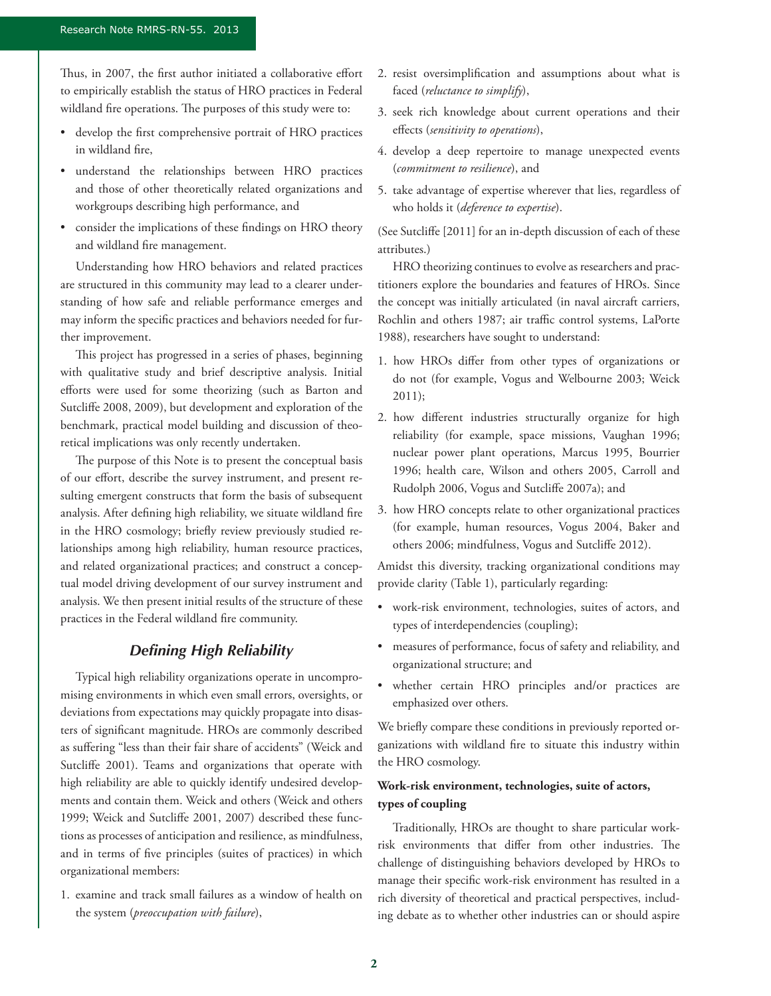Thus, in 2007, the first author initiated a collaborative effort to empirically establish the status of HRO practices in Federal wildland fire operations. The purposes of this study were to:

- • develop the first comprehensive portrait of HRO practices in wildland fire,
- understand the relationships between HRO practices and those of other theoretically related organizations and workgroups describing high performance, and
- consider the implications of these findings on HRO theory and wildland fire management.

Understanding how HRO behaviors and related practices are structured in this community may lead to a clearer understanding of how safe and reliable performance emerges and may inform the specific practices and behaviors needed for further improvement.

This project has progressed in a series of phases, beginning with qualitative study and brief descriptive analysis. Initial efforts were used for some theorizing (such as Barton and Sutcliffe 2008, 2009), but development and exploration of the benchmark, practical model building and discussion of theoretical implications was only recently undertaken.

The purpose of this Note is to present the conceptual basis of our effort, describe the survey instrument, and present resulting emergent constructs that form the basis of subsequent analysis. After defining high reliability, we situate wildland fire in the HRO cosmology; briefly review previously studied relationships among high reliability, human resource practices, and related organizational practices; and construct a conceptual model driving development of our survey instrument and analysis. We then present initial results of the structure of these practices in the Federal wildland fire community.

## *Defining High Reliability*

Typical high reliability organizations operate in uncompromising environments in which even small errors, oversights, or deviations from expectations may quickly propagate into disasters of significant magnitude. HROs are commonly described as suffering "less than their fair share of accidents" (Weick and Sutcliffe 2001). Teams and organizations that operate with high reliability are able to quickly identify undesired developments and contain them. Weick and others (Weick and others 1999; Weick and Sutcliffe 2001, 2007) described these functions as processes of anticipation and resilience, as mindfulness, and in terms of five principles (suites of practices) in which organizational members:

1. examine and track small failures as a window of health on the system (*preoccupation with failure*),

- 2. resist oversimplification and assumptions about what is faced (*reluctance to simplify*),
- 3. seek rich knowledge about current operations and their effects (*sensitivity to operations*),
- 4. develop a deep repertoire to manage unexpected events (*commitment to resilience*), and
- 5. take advantage of expertise wherever that lies, regardless of who holds it (*deference to expertise*).

(See Sutcliffe [2011] for an in-depth discussion of each of these attributes.)

HRO theorizing continues to evolve as researchers and practitioners explore the boundaries and features of HROs. Since the concept was initially articulated (in naval aircraft carriers, Rochlin and others 1987; air traffic control systems, LaPorte 1988), researchers have sought to understand:

- 1. how HROs differ from other types of organizations or do not (for example, Vogus and Welbourne 2003; Weick 2011);
- 2. how different industries structurally organize for high reliability (for example, space missions, Vaughan 1996; nuclear power plant operations, Marcus 1995, Bourrier 1996; health care, Wilson and others 2005, Carroll and Rudolph 2006, Vogus and Sutcliffe 2007a); and
- 3. how HRO concepts relate to other organizational practices (for example, human resources, Vogus 2004, Baker and others 2006; mindfulness, Vogus and Sutcliffe 2012).

Amidst this diversity, tracking organizational conditions may provide clarity (Table 1), particularly regarding:

- • work-risk environment, technologies, suites of actors, and types of interdependencies (coupling);
- measures of performance, focus of safety and reliability, and organizational structure; and
- • whether certain HRO principles and/or practices are emphasized over others.

We briefly compare these conditions in previously reported organizations with wildland fire to situate this industry within the HRO cosmology.

## **Work-risk environment, technologies, suite of actors, types of coupling**

Traditionally, HROs are thought to share particular workrisk environments that differ from other industries. The challenge of distinguishing behaviors developed by HROs to manage their specific work-risk environment has resulted in a rich diversity of theoretical and practical perspectives, including debate as to whether other industries can or should aspire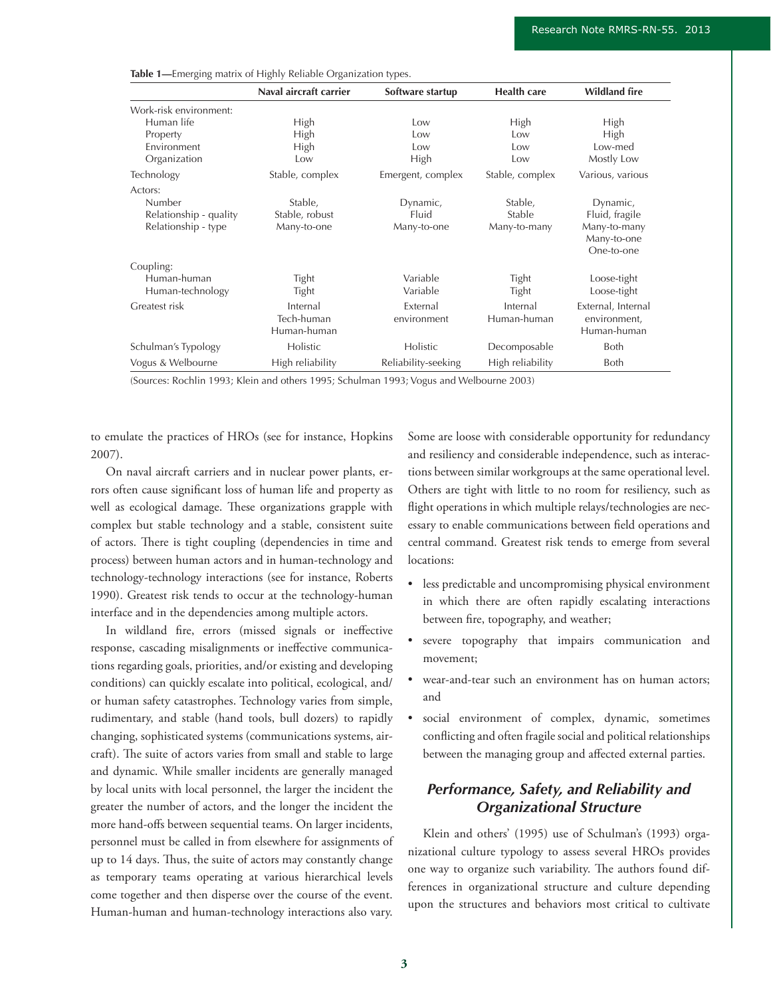|                        | Naval aircraft carrier | Software startup    | <b>Health care</b> | <b>Wildland fire</b>                      |
|------------------------|------------------------|---------------------|--------------------|-------------------------------------------|
| Work-risk environment: |                        |                     |                    |                                           |
| Human life             | High                   | Low                 | High               | <b>High</b>                               |
| Property               | High                   | Low                 | Low                | High                                      |
| Environment            | High                   | Low                 | Low                | Low-med                                   |
| Organization           | Low                    | High                | Low                | Mostly Low                                |
| Technology             | Stable, complex        | Emergent, complex   | Stable, complex    | Various, various                          |
| Actors:                |                        |                     |                    |                                           |
| Number                 | Stable,                | Dynamic,            | Stable,            | Dynamic,                                  |
| Relationship - quality | Stable, robust         | Fluid               | Stable             | Fluid, fragile                            |
| Relationship - type    | Many-to-one            | Many-to-one         | Many-to-many       | Many-to-many<br>Many-to-one<br>One-to-one |
| Coupling:              |                        |                     |                    |                                           |
| Human-human            | Tight                  | Variable            | Tight              | Loose-tight                               |
| Human-technology       | Tight                  | Variable            | Tight              | Loose-tight                               |
| Greatest risk          | Internal               | External            | Internal           | External, Internal                        |
|                        | Tech-human             | environment         | Human-human        | environment,                              |
|                        | Human-human            |                     |                    | Human-human                               |
| Schulman's Typology    | Holistic               | Holistic            | Decomposable       | Both                                      |
| Vogus & Welbourne      | High reliability       | Reliability-seeking | High reliability   | Both                                      |

**Table 1—**Emerging matrix of Highly Reliable Organization types.

(Sources: Rochlin 1993; Klein and others 1995; Schulman 1993; Vogus and Welbourne 2003)

to emulate the practices of HROs (see for instance, Hopkins 2007).

On naval aircraft carriers and in nuclear power plants, errors often cause significant loss of human life and property as well as ecological damage. These organizations grapple with complex but stable technology and a stable, consistent suite of actors. There is tight coupling (dependencies in time and process) between human actors and in human-technology and technology-technology interactions (see for instance, Roberts 1990). Greatest risk tends to occur at the technology-human interface and in the dependencies among multiple actors.

In wildland fire, errors (missed signals or ineffective response, cascading misalignments or ineffective communications regarding goals, priorities, and/or existing and developing conditions) can quickly escalate into political, ecological, and/ or human safety catastrophes. Technology varies from simple, rudimentary, and stable (hand tools, bull dozers) to rapidly changing, sophisticated systems (communications systems, aircraft). The suite of actors varies from small and stable to large and dynamic. While smaller incidents are generally managed by local units with local personnel, the larger the incident the greater the number of actors, and the longer the incident the more hand-offs between sequential teams. On larger incidents, personnel must be called in from elsewhere for assignments of up to 14 days. Thus, the suite of actors may constantly change as temporary teams operating at various hierarchical levels come together and then disperse over the course of the event. Human-human and human-technology interactions also vary.

Some are loose with considerable opportunity for redundancy and resiliency and considerable independence, such as interactions between similar workgroups at the same operational level. Others are tight with little to no room for resiliency, such as flight operations in which multiple relays/technologies are necessary to enable communications between field operations and central command. Greatest risk tends to emerge from several locations:

- • less predictable and uncompromising physical environment in which there are often rapidly escalating interactions between fire, topography, and weather;
- • severe topography that impairs communication and movement;
- wear-and-tear such an environment has on human actors; and
- social environment of complex, dynamic, sometimes conflicting and often fragile social and political relationships between the managing group and affected external parties.

## *Performance, Safety, and Reliability and Organizational Structure*

Klein and others' (1995) use of Schulman's (1993) organizational culture typology to assess several HROs provides one way to organize such variability. The authors found differences in organizational structure and culture depending upon the structures and behaviors most critical to cultivate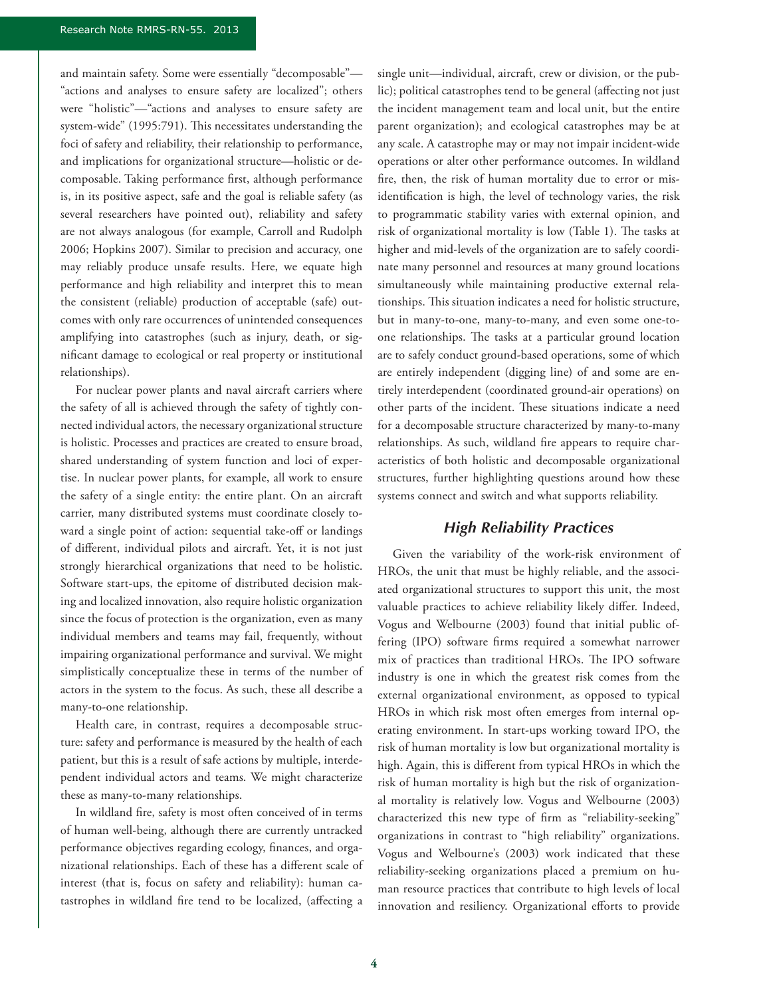and maintain safety. Some were essentially "decomposable"— "actions and analyses to ensure safety are localized"; others were "holistic"—"actions and analyses to ensure safety are system-wide" (1995:791). This necessitates understanding the foci of safety and reliability, their relationship to performance, and implications for organizational structure—holistic or decomposable. Taking performance first, although performance is, in its positive aspect, safe and the goal is reliable safety (as several researchers have pointed out), reliability and safety are not always analogous (for example, Carroll and Rudolph 2006; Hopkins 2007). Similar to precision and accuracy, one may reliably produce unsafe results. Here, we equate high performance and high reliability and interpret this to mean the consistent (reliable) production of acceptable (safe) outcomes with only rare occurrences of unintended consequences amplifying into catastrophes (such as injury, death, or significant damage to ecological or real property or institutional relationships).

For nuclear power plants and naval aircraft carriers where the safety of all is achieved through the safety of tightly connected individual actors, the necessary organizational structure is holistic. Processes and practices are created to ensure broad, shared understanding of system function and loci of expertise. In nuclear power plants, for example, all work to ensure the safety of a single entity: the entire plant. On an aircraft carrier, many distributed systems must coordinate closely toward a single point of action: sequential take-off or landings of different, individual pilots and aircraft. Yet, it is not just strongly hierarchical organizations that need to be holistic. Software start-ups, the epitome of distributed decision making and localized innovation, also require holistic organization since the focus of protection is the organization, even as many individual members and teams may fail, frequently, without impairing organizational performance and survival. We might simplistically conceptualize these in terms of the number of actors in the system to the focus. As such, these all describe a many-to-one relationship.

Health care, in contrast, requires a decomposable structure: safety and performance is measured by the health of each patient, but this is a result of safe actions by multiple, interdependent individual actors and teams. We might characterize these as many-to-many relationships.

In wildland fire, safety is most often conceived of in terms of human well-being, although there are currently untracked performance objectives regarding ecology, finances, and organizational relationships. Each of these has a different scale of interest (that is, focus on safety and reliability): human catastrophes in wildland fire tend to be localized, (affecting a

single unit—individual, aircraft, crew or division, or the public); political catastrophes tend to be general (affecting not just the incident management team and local unit, but the entire parent organization); and ecological catastrophes may be at any scale. A catastrophe may or may not impair incident-wide operations or alter other performance outcomes. In wildland fire, then, the risk of human mortality due to error or misidentification is high, the level of technology varies, the risk to programmatic stability varies with external opinion, and risk of organizational mortality is low (Table 1). The tasks at higher and mid-levels of the organization are to safely coordinate many personnel and resources at many ground locations simultaneously while maintaining productive external relationships. This situation indicates a need for holistic structure, but in many-to-one, many-to-many, and even some one-toone relationships. The tasks at a particular ground location are to safely conduct ground-based operations, some of which are entirely independent (digging line) of and some are entirely interdependent (coordinated ground-air operations) on other parts of the incident. These situations indicate a need for a decomposable structure characterized by many-to-many relationships. As such, wildland fire appears to require characteristics of both holistic and decomposable organizational structures, further highlighting questions around how these systems connect and switch and what supports reliability.

## *High Reliability Practices*

Given the variability of the work-risk environment of HROs, the unit that must be highly reliable, and the associated organizational structures to support this unit, the most valuable practices to achieve reliability likely differ. Indeed, Vogus and Welbourne (2003) found that initial public offering (IPO) software firms required a somewhat narrower mix of practices than traditional HROs. The IPO software industry is one in which the greatest risk comes from the external organizational environment, as opposed to typical HROs in which risk most often emerges from internal operating environment. In start-ups working toward IPO, the risk of human mortality is low but organizational mortality is high. Again, this is different from typical HROs in which the risk of human mortality is high but the risk of organizational mortality is relatively low. Vogus and Welbourne (2003) characterized this new type of firm as "reliability-seeking" organizations in contrast to "high reliability" organizations. Vogus and Welbourne's (2003) work indicated that these reliability-seeking organizations placed a premium on human resource practices that contribute to high levels of local innovation and resiliency. Organizational efforts to provide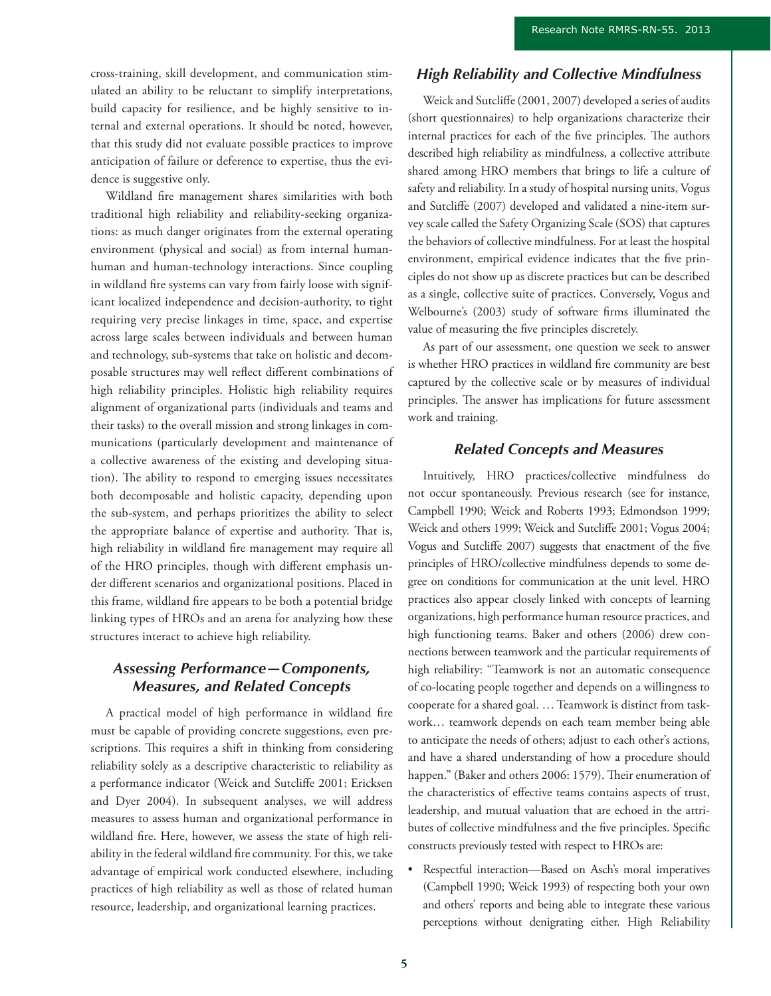cross-training, skill development, and communication stimulated an ability to be reluctant to simplify interpretations, build capacity for resilience, and be highly sensitive to internal and external operations. It should be noted, however, that this study did not evaluate possible practices to improve anticipation of failure or deference to expertise, thus the evidence is suggestive only.

Wildland fire management shares similarities with both traditional high reliability and reliability-seeking organizations: as much danger originates from the external operating environment (physical and social) as from internal humanhuman and human-technology interactions. Since coupling in wildland fire systems can vary from fairly loose with significant localized independence and decision-authority, to tight requiring very precise linkages in time, space, and expertise across large scales between individuals and between human and technology, sub-systems that take on holistic and decomposable structures may well reflect different combinations of high reliability principles. Holistic high reliability requires alignment of organizational parts (individuals and teams and their tasks) to the overall mission and strong linkages in communications (particularly development and maintenance of a collective awareness of the existing and developing situation). The ability to respond to emerging issues necessitates both decomposable and holistic capacity, depending upon the sub-system, and perhaps prioritizes the ability to select the appropriate balance of expertise and authority. That is, high reliability in wildland fire management may require all of the HRO principles, though with different emphasis under different scenarios and organizational positions. Placed in this frame, wildland fire appears to be both a potential bridge linking types of HROs and an arena for analyzing how these structures interact to achieve high reliability.

## *Assessing Performance—Components, Measures, and Related Concepts*

A practical model of high performance in wildland fire must be capable of providing concrete suggestions, even prescriptions. This requires a shift in thinking from considering reliability solely as a descriptive characteristic to reliability as a performance indicator (Weick and Sutcliffe 2001; Ericksen and Dyer 2004). In subsequent analyses, we will address measures to assess human and organizational performance in wildland fire. Here, however, we assess the state of high reliability in the federal wildland fire community. For this, we take advantage of empirical work conducted elsewhere, including practices of high reliability as well as those of related human resource, leadership, and organizational learning practices.

## *High Reliability and Collective Mindfulness*

Weick and Sutcliffe (2001, 2007) developed a series of audits (short questionnaires) to help organizations characterize their internal practices for each of the five principles. The authors described high reliability as mindfulness, a collective attribute shared among HRO members that brings to life a culture of safety and reliability. In a study of hospital nursing units, Vogus and Sutcliffe (2007) developed and validated a nine-item survey scale called the Safety Organizing Scale (SOS) that captures the behaviors of collective mindfulness. For at least the hospital environment, empirical evidence indicates that the five principles do not show up as discrete practices but can be described as a single, collective suite of practices. Conversely, Vogus and Welbourne's (2003) study of software firms illuminated the value of measuring the five principles discretely.

As part of our assessment, one question we seek to answer is whether HRO practices in wildland fire community are best captured by the collective scale or by measures of individual principles. The answer has implications for future assessment work and training.

## *Related Concepts and Measures*

Intuitively, HRO practices/collective mindfulness do not occur spontaneously. Previous research (see for instance, Campbell 1990; Weick and Roberts 1993; Edmondson 1999; Weick and others 1999; Weick and Sutcliffe 2001; Vogus 2004; Vogus and Sutcliffe 2007) suggests that enactment of the five principles of HRO/collective mindfulness depends to some degree on conditions for communication at the unit level. HRO practices also appear closely linked with concepts of learning organizations, high performance human resource practices, and high functioning teams. Baker and others (2006) drew connections between teamwork and the particular requirements of high reliability: "Teamwork is not an automatic consequence of co-locating people together and depends on a willingness to cooperate for a shared goal. … Teamwork is distinct from taskwork… teamwork depends on each team member being able to anticipate the needs of others; adjust to each other's actions, and have a shared understanding of how a procedure should happen." (Baker and others 2006: 1579). Their enumeration of the characteristics of effective teams contains aspects of trust, leadership, and mutual valuation that are echoed in the attributes of collective mindfulness and the five principles. Specific constructs previously tested with respect to HROs are:

• Respectful interaction—Based on Asch's moral imperatives (Campbell 1990; Weick 1993) of respecting both your own and others' reports and being able to integrate these various perceptions without denigrating either. High Reliability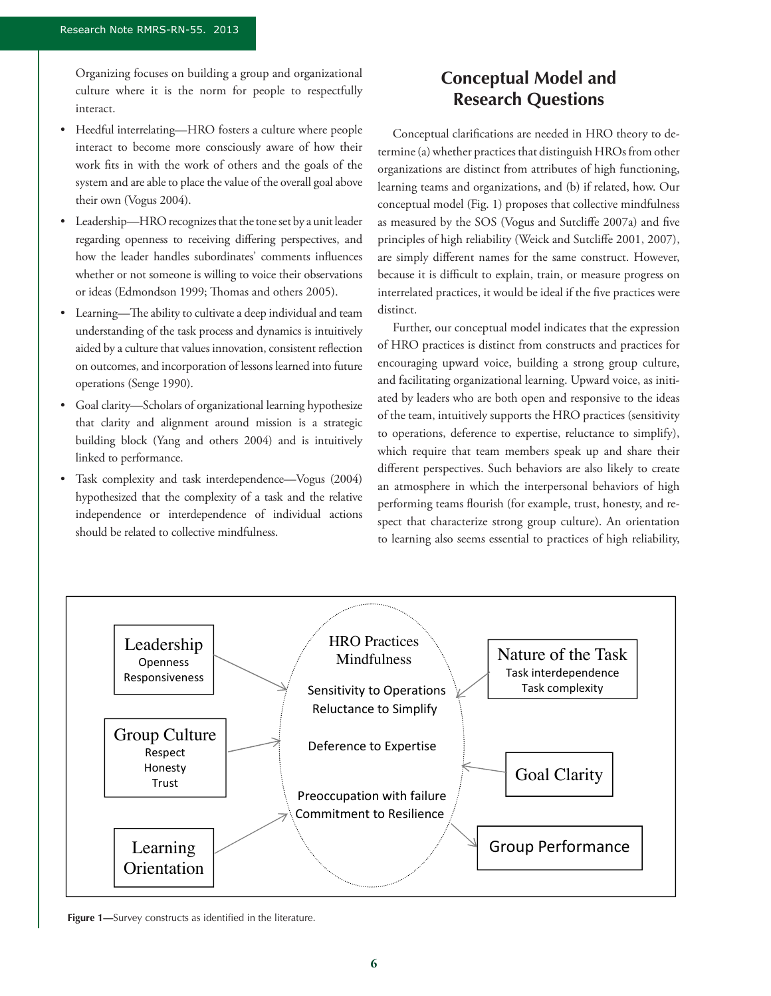Organizing focuses on building a group and organizational culture where it is the norm for people to respectfully interact.

- Heedful interrelating—HRO fosters a culture where people interact to become more consciously aware of how their work fits in with the work of others and the goals of the system and are able to place the value of the overall goal above their own (Vogus 2004).
- • Leadership—HRO recognizes that the tone set by a unit leader regarding openness to receiving differing perspectives, and how the leader handles subordinates' comments influences whether or not someone is willing to voice their observations or ideas (Edmondson 1999; Thomas and others 2005).
- • Learning—The ability to cultivate a deep individual and team understanding of the task process and dynamics is intuitively aided by a culture that values innovation, consistent reflection on outcomes, and incorporation of lessons learned into future operations (Senge 1990).
- Goal clarity—Scholars of organizational learning hypothesize that clarity and alignment around mission is a strategic building block (Yang and others 2004) and is intuitively linked to performance.
- Task complexity and task interdependence—Vogus (2004) hypothesized that the complexity of a task and the relative independence or interdependence of individual actions should be related to collective mindfulness.

## **Conceptual Model and Research Questions**

Conceptual clarifications are needed in HRO theory to determine (a) whether practices that distinguish HROs from other organizations are distinct from attributes of high functioning, learning teams and organizations, and (b) if related, how. Our conceptual model (Fig. 1) proposes that collective mindfulness as measured by the SOS (Vogus and Sutcliffe 2007a) and five principles of high reliability (Weick and Sutcliffe 2001, 2007), are simply different names for the same construct. However, because it is difficult to explain, train, or measure progress on interrelated practices, it would be ideal if the five practices were distinct.

Further, our conceptual model indicates that the expression of HRO practices is distinct from constructs and practices for encouraging upward voice, building a strong group culture, and facilitating organizational learning. Upward voice, as initiated by leaders who are both open and responsive to the ideas of the team, intuitively supports the HRO practices (sensitivity to operations, deference to expertise, reluctance to simplify), which require that team members speak up and share their different perspectives. Such behaviors are also likely to create an atmosphere in which the interpersonal behaviors of high performing teams flourish (for example, trust, honesty, and respect that characterize strong group culture). An orientation to learning also seems essential to practices of high reliability,



**Figure 1—**Survey constructs as identified in the literature.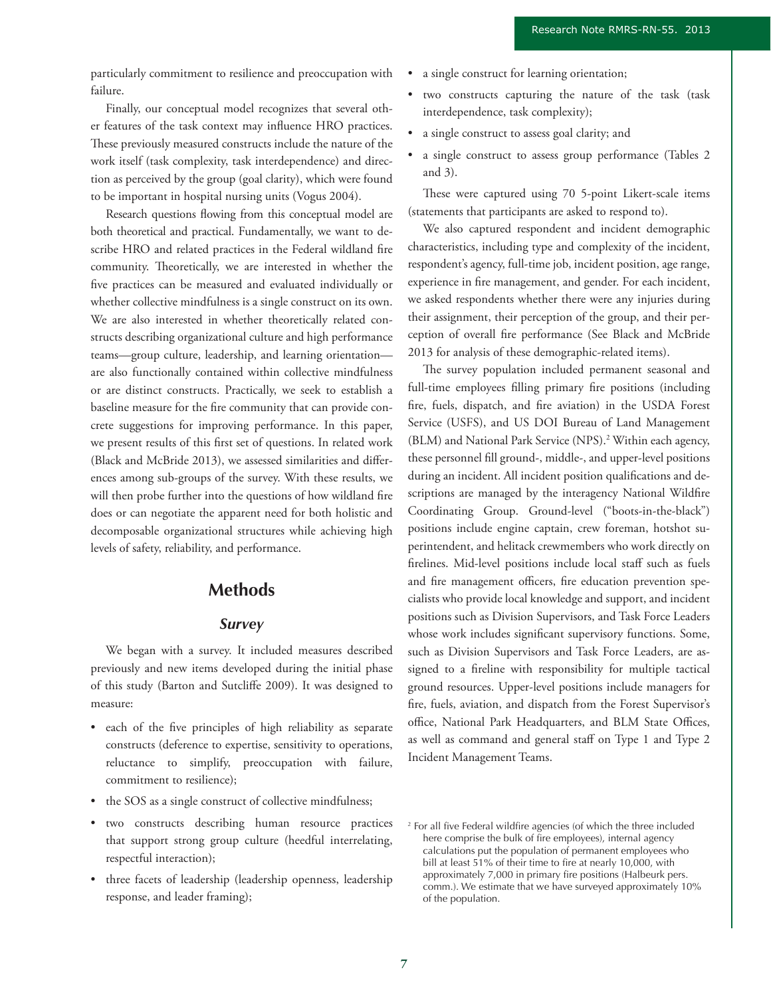particularly commitment to resilience and preoccupation with failure.

Finally, our conceptual model recognizes that several other features of the task context may influence HRO practices. These previously measured constructs include the nature of the work itself (task complexity, task interdependence) and direction as perceived by the group (goal clarity), which were found to be important in hospital nursing units (Vogus 2004).

Research questions flowing from this conceptual model are both theoretical and practical. Fundamentally, we want to describe HRO and related practices in the Federal wildland fire community. Theoretically, we are interested in whether the five practices can be measured and evaluated individually or whether collective mindfulness is a single construct on its own. We are also interested in whether theoretically related constructs describing organizational culture and high performance teams—group culture, leadership, and learning orientation are also functionally contained within collective mindfulness or are distinct constructs. Practically, we seek to establish a baseline measure for the fire community that can provide concrete suggestions for improving performance. In this paper, we present results of this first set of questions. In related work (Black and McBride 2013), we assessed similarities and differences among sub-groups of the survey. With these results, we will then probe further into the questions of how wildland fire does or can negotiate the apparent need for both holistic and decomposable organizational structures while achieving high levels of safety, reliability, and performance.

## **Methods**

#### *Survey*

We began with a survey. It included measures described previously and new items developed during the initial phase of this study (Barton and Sutcliffe 2009). It was designed to measure:

- each of the five principles of high reliability as separate constructs (deference to expertise, sensitivity to operations, reluctance to simplify, preoccupation with failure, commitment to resilience);
- the SOS as a single construct of collective mindfulness;
- two constructs describing human resource practices that support strong group culture (heedful interrelating, respectful interaction);
- three facets of leadership (leadership openness, leadership response, and leader framing);
- • a single construct for learning orientation;
- two constructs capturing the nature of the task (task interdependence, task complexity);
- a single construct to assess goal clarity; and
- a single construct to assess group performance (Tables 2) and 3).

These were captured using 70 5-point Likert-scale items (statements that participants are asked to respond to).

We also captured respondent and incident demographic characteristics, including type and complexity of the incident, respondent's agency, full-time job, incident position, age range, experience in fire management, and gender. For each incident, we asked respondents whether there were any injuries during their assignment, their perception of the group, and their perception of overall fire performance (See Black and McBride 2013 for analysis of these demographic-related items).

The survey population included permanent seasonal and full-time employees filling primary fire positions (including fire, fuels, dispatch, and fire aviation) in the USDA Forest Service (USFS), and US DOI Bureau of Land Management (BLM) and National Park Service (NPS).<sup>2</sup> Within each agency, these personnel fill ground-, middle-, and upper-level positions during an incident. All incident position qualifications and descriptions are managed by the interagency National Wildfire Coordinating Group. Ground-level ("boots-in-the-black") positions include engine captain, crew foreman, hotshot superintendent, and helitack crewmembers who work directly on firelines. Mid-level positions include local staff such as fuels and fire management officers, fire education prevention specialists who provide local knowledge and support, and incident positions such as Division Supervisors, and Task Force Leaders whose work includes significant supervisory functions. Some, such as Division Supervisors and Task Force Leaders, are assigned to a fireline with responsibility for multiple tactical ground resources. Upper-level positions include managers for fire, fuels, aviation, and dispatch from the Forest Supervisor's office, National Park Headquarters, and BLM State Offices, as well as command and general staff on Type 1 and Type 2 Incident Management Teams.

<sup>&</sup>lt;sup>2</sup> For all five Federal wildfire agencies (of which the three included here comprise the bulk of fire employees), internal agency calculations put the population of permanent employees who bill at least 51% of their time to fire at nearly 10,000, with approximately 7,000 in primary fire positions (Halbeurk pers. comm.). We estimate that we have surveyed approximately 10% of the population.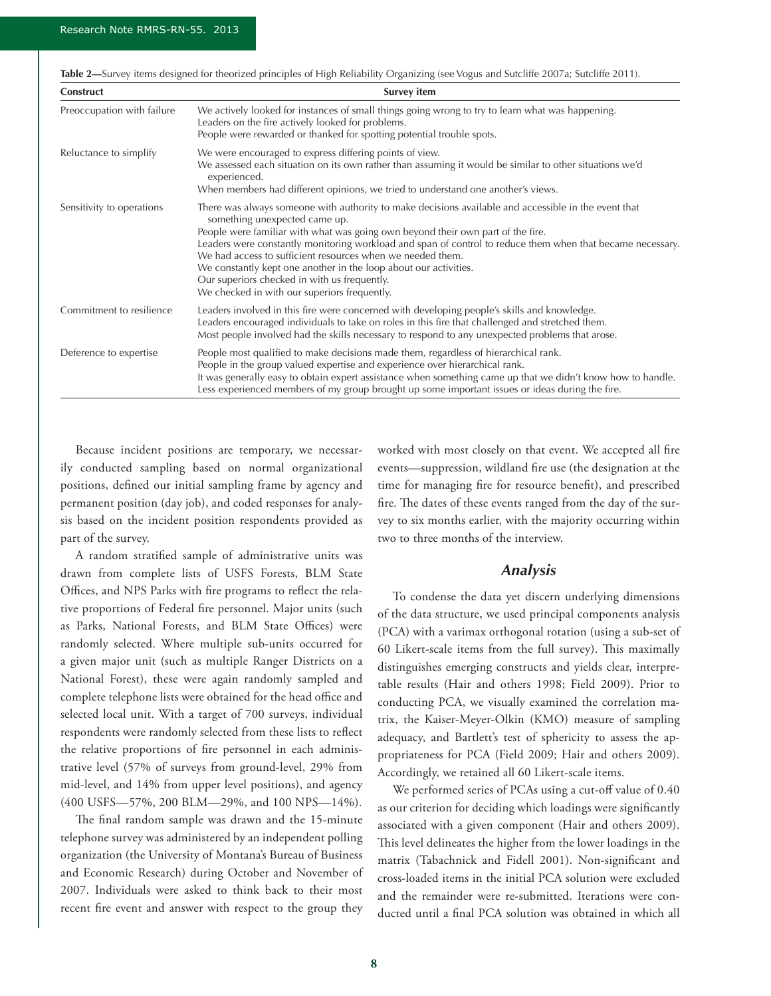| Construct                  | Survey item                                                                                                                                                                                                                                                                                                                                                                                                                                                                                                                                                              |
|----------------------------|--------------------------------------------------------------------------------------------------------------------------------------------------------------------------------------------------------------------------------------------------------------------------------------------------------------------------------------------------------------------------------------------------------------------------------------------------------------------------------------------------------------------------------------------------------------------------|
| Preoccupation with failure | We actively looked for instances of small things going wrong to try to learn what was happening.<br>Leaders on the fire actively looked for problems.<br>People were rewarded or thanked for spotting potential trouble spots.                                                                                                                                                                                                                                                                                                                                           |
| Reluctance to simplify     | We were encouraged to express differing points of view.<br>We assessed each situation on its own rather than assuming it would be similar to other situations we'd<br>experienced.<br>When members had different opinions, we tried to understand one another's views.                                                                                                                                                                                                                                                                                                   |
| Sensitivity to operations  | There was always someone with authority to make decisions available and accessible in the event that<br>something unexpected came up.<br>People were familiar with what was going own beyond their own part of the fire.<br>Leaders were constantly monitoring workload and span of control to reduce them when that became necessary.<br>We had access to sufficient resources when we needed them.<br>We constantly kept one another in the loop about our activities.<br>Our superiors checked in with us frequently.<br>We checked in with our superiors frequently. |
| Commitment to resilience   | Leaders involved in this fire were concerned with developing people's skills and knowledge.<br>Leaders encouraged individuals to take on roles in this fire that challenged and stretched them.<br>Most people involved had the skills necessary to respond to any unexpected problems that arose.                                                                                                                                                                                                                                                                       |
| Deference to expertise     | People most qualified to make decisions made them, regardless of hierarchical rank.<br>People in the group valued expertise and experience over hierarchical rank.<br>It was generally easy to obtain expert assistance when something came up that we didn't know how to handle.<br>Less experienced members of my group brought up some important issues or ideas during the fire.                                                                                                                                                                                     |

**Table 2—**Survey items designed for theorized principles of High Reliability Organizing (see Vogus and Sutcliffe 2007a; Sutcliffe 2011).

Because incident positions are temporary, we necessarily conducted sampling based on normal organizational positions, defined our initial sampling frame by agency and permanent position (day job), and coded responses for analysis based on the incident position respondents provided as part of the survey.

A random stratified sample of administrative units was drawn from complete lists of USFS Forests, BLM State Offices, and NPS Parks with fire programs to reflect the relative proportions of Federal fire personnel. Major units (such as Parks, National Forests, and BLM State Offices) were randomly selected. Where multiple sub-units occurred for a given major unit (such as multiple Ranger Districts on a National Forest), these were again randomly sampled and complete telephone lists were obtained for the head office and selected local unit. With a target of 700 surveys, individual respondents were randomly selected from these lists to reflect the relative proportions of fire personnel in each administrative level (57% of surveys from ground-level, 29% from mid-level, and 14% from upper level positions), and agency (400 USFS—57%, 200 BLM—29%, and 100 NPS—14%).

The final random sample was drawn and the 15-minute telephone survey was administered by an independent polling organization (the University of Montana's Bureau of Business and Economic Research) during October and November of 2007. Individuals were asked to think back to their most recent fire event and answer with respect to the group they

worked with most closely on that event. We accepted all fire events—suppression, wildland fire use (the designation at the time for managing fire for resource benefit), and prescribed fire. The dates of these events ranged from the day of the survey to six months earlier, with the majority occurring within two to three months of the interview.

## *Analysis*

To condense the data yet discern underlying dimensions of the data structure, we used principal components analysis (PCA) with a varimax orthogonal rotation (using a sub-set of 60 Likert-scale items from the full survey). This maximally distinguishes emerging constructs and yields clear, interpretable results (Hair and others 1998; Field 2009). Prior to conducting PCA, we visually examined the correlation matrix, the Kaiser-Meyer-Olkin (KMO) measure of sampling adequacy, and Bartlett's test of sphericity to assess the appropriateness for PCA (Field 2009; Hair and others 2009). Accordingly, we retained all 60 Likert-scale items.

We performed series of PCAs using a cut-off value of 0.40 as our criterion for deciding which loadings were significantly associated with a given component (Hair and others 2009). This level delineates the higher from the lower loadings in the matrix (Tabachnick and Fidell 2001). Non-significant and cross-loaded items in the initial PCA solution were excluded and the remainder were re-submitted. Iterations were conducted until a final PCA solution was obtained in which all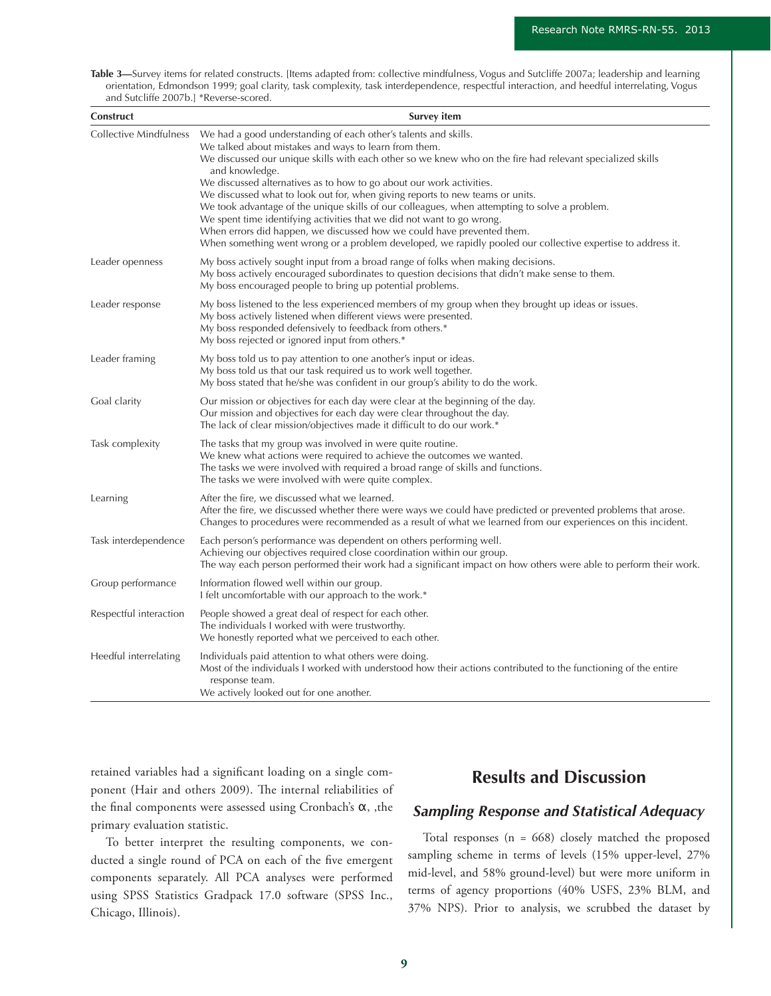**Table 3—**Survey items for related constructs. [Items adapted from: collective mindfulness, Vogus and Sutcliffe 2007a; leadership and learning orientation, Edmondson 1999; goal clarity, task complexity, task interdependence, respectful interaction, and heedful interrelating, Vogus and Sutcliffe 2007b.] \*Reverse-scored.

| Construct                     | <b>Survey item</b>                                                                                                                                                                                                                                                                                                                                                                                                                                                                                                                                                                                                                                                                                                                                                                   |
|-------------------------------|--------------------------------------------------------------------------------------------------------------------------------------------------------------------------------------------------------------------------------------------------------------------------------------------------------------------------------------------------------------------------------------------------------------------------------------------------------------------------------------------------------------------------------------------------------------------------------------------------------------------------------------------------------------------------------------------------------------------------------------------------------------------------------------|
| <b>Collective Mindfulness</b> | We had a good understanding of each other's talents and skills.<br>We talked about mistakes and ways to learn from them.<br>We discussed our unique skills with each other so we knew who on the fire had relevant specialized skills<br>and knowledge.<br>We discussed alternatives as to how to go about our work activities.<br>We discussed what to look out for, when giving reports to new teams or units.<br>We took advantage of the unique skills of our colleagues, when attempting to solve a problem.<br>We spent time identifying activities that we did not want to go wrong.<br>When errors did happen, we discussed how we could have prevented them.<br>When something went wrong or a problem developed, we rapidly pooled our collective expertise to address it. |
| Leader openness               | My boss actively sought input from a broad range of folks when making decisions.<br>My boss actively encouraged subordinates to question decisions that didn't make sense to them.<br>My boss encouraged people to bring up potential problems.                                                                                                                                                                                                                                                                                                                                                                                                                                                                                                                                      |
| Leader response               | My boss listened to the less experienced members of my group when they brought up ideas or issues.<br>My boss actively listened when different views were presented.<br>My boss responded defensively to feedback from others.*<br>My boss rejected or ignored input from others.*                                                                                                                                                                                                                                                                                                                                                                                                                                                                                                   |
| Leader framing                | My boss told us to pay attention to one another's input or ideas.<br>My boss told us that our task required us to work well together.<br>My boss stated that he/she was confident in our group's ability to do the work.                                                                                                                                                                                                                                                                                                                                                                                                                                                                                                                                                             |
| Goal clarity                  | Our mission or objectives for each day were clear at the beginning of the day.<br>Our mission and objectives for each day were clear throughout the day.<br>The lack of clear mission/objectives made it difficult to do our work.*                                                                                                                                                                                                                                                                                                                                                                                                                                                                                                                                                  |
| Task complexity               | The tasks that my group was involved in were quite routine.<br>We knew what actions were required to achieve the outcomes we wanted.<br>The tasks we were involved with required a broad range of skills and functions.<br>The tasks we were involved with were quite complex.                                                                                                                                                                                                                                                                                                                                                                                                                                                                                                       |
| Learning                      | After the fire, we discussed what we learned.<br>After the fire, we discussed whether there were ways we could have predicted or prevented problems that arose.<br>Changes to procedures were recommended as a result of what we learned from our experiences on this incident.                                                                                                                                                                                                                                                                                                                                                                                                                                                                                                      |
| Task interdependence          | Each person's performance was dependent on others performing well.<br>Achieving our objectives required close coordination within our group.<br>The way each person performed their work had a significant impact on how others were able to perform their work.                                                                                                                                                                                                                                                                                                                                                                                                                                                                                                                     |
| Group performance             | Information flowed well within our group.<br>I felt uncomfortable with our approach to the work.*                                                                                                                                                                                                                                                                                                                                                                                                                                                                                                                                                                                                                                                                                    |
| Respectful interaction        | People showed a great deal of respect for each other.<br>The individuals I worked with were trustworthy.<br>We honestly reported what we perceived to each other.                                                                                                                                                                                                                                                                                                                                                                                                                                                                                                                                                                                                                    |
| Heedful interrelating         | Individuals paid attention to what others were doing.<br>Most of the individuals I worked with understood how their actions contributed to the functioning of the entire<br>response team.<br>We actively looked out for one another.                                                                                                                                                                                                                                                                                                                                                                                                                                                                                                                                                |

retained variables had a significant loading on a single component (Hair and others 2009). The internal reliabilities of the final components were assessed using Cronbach's α, ,the primary evaluation statistic.

To better interpret the resulting components, we conducted a single round of PCA on each of the five emergent components separately. All PCA analyses were performed using SPSS Statistics Gradpack 17.0 software (SPSS Inc., Chicago, Illinois).

## **Results and Discussion**

## *Sampling Response and Statistical Adequacy*

Total responses (n = 668) closely matched the proposed sampling scheme in terms of levels (15% upper-level, 27% mid-level, and 58% ground-level) but were more uniform in terms of agency proportions (40% USFS, 23% BLM, and 37% NPS). Prior to analysis, we scrubbed the dataset by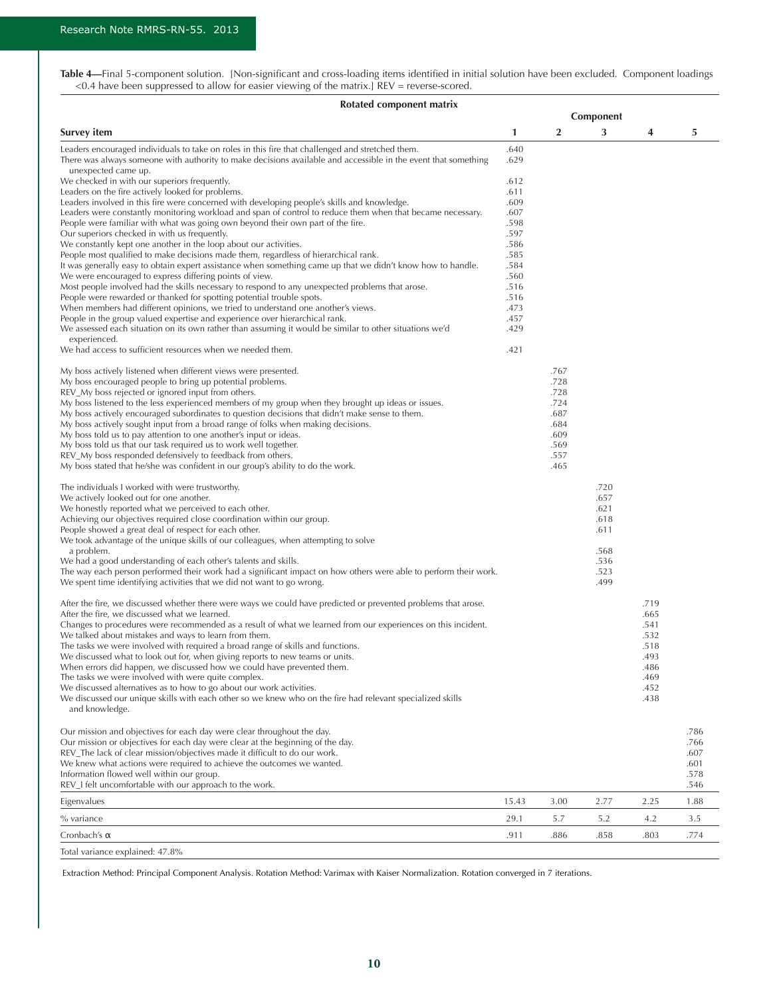| Table 4—Final 5-component solution. [Non-significant and cross-loading items identified in initial solution have been excluded. Component loadings |  |  |  |
|----------------------------------------------------------------------------------------------------------------------------------------------------|--|--|--|
| <0.4 have been suppressed to allow for easier viewing of the matrix.] REV = reverse-scored.                                                        |  |  |  |

| Rotated component matrix                                                                                                                                                                                                                  |              |              |              |              |              |  |  |  |
|-------------------------------------------------------------------------------------------------------------------------------------------------------------------------------------------------------------------------------------------|--------------|--------------|--------------|--------------|--------------|--|--|--|
|                                                                                                                                                                                                                                           | Component    |              |              |              |              |  |  |  |
| Survey item                                                                                                                                                                                                                               | 1            | 2            | 3            | 4            | 5            |  |  |  |
| Leaders encouraged individuals to take on roles in this fire that challenged and stretched them.<br>There was always someone with authority to make decisions available and accessible in the event that something<br>unexpected came up. | .640<br>.629 |              |              |              |              |  |  |  |
| We checked in with our superiors frequently.                                                                                                                                                                                              | .612         |              |              |              |              |  |  |  |
| Leaders on the fire actively looked for problems.                                                                                                                                                                                         | .611         |              |              |              |              |  |  |  |
| Leaders involved in this fire were concerned with developing people's skills and knowledge.                                                                                                                                               | .609         |              |              |              |              |  |  |  |
| Leaders were constantly monitoring workload and span of control to reduce them when that became necessary.                                                                                                                                | .607         |              |              |              |              |  |  |  |
| People were familiar with what was going own beyond their own part of the fire.<br>Our superiors checked in with us frequently.                                                                                                           | .598<br>.597 |              |              |              |              |  |  |  |
| We constantly kept one another in the loop about our activities.                                                                                                                                                                          | .586         |              |              |              |              |  |  |  |
| People most qualified to make decisions made them, regardless of hierarchical rank.                                                                                                                                                       | .585         |              |              |              |              |  |  |  |
| It was generally easy to obtain expert assistance when something came up that we didn't know how to handle.                                                                                                                               | .584         |              |              |              |              |  |  |  |
| We were encouraged to express differing points of view.                                                                                                                                                                                   | .560         |              |              |              |              |  |  |  |
| Most people involved had the skills necessary to respond to any unexpected problems that arose.                                                                                                                                           | .516         |              |              |              |              |  |  |  |
| People were rewarded or thanked for spotting potential trouble spots.<br>When members had different opinions, we tried to understand one another's views.                                                                                 | .516<br>.473 |              |              |              |              |  |  |  |
| People in the group valued expertise and experience over hierarchical rank.                                                                                                                                                               | .457         |              |              |              |              |  |  |  |
| We assessed each situation on its own rather than assuming it would be similar to other situations we'd<br>experienced.                                                                                                                   | .429         |              |              |              |              |  |  |  |
| We had access to sufficient resources when we needed them.                                                                                                                                                                                | .421         |              |              |              |              |  |  |  |
| My boss actively listened when different views were presented.<br>My boss encouraged people to bring up potential problems.                                                                                                               |              | .767<br>.728 |              |              |              |  |  |  |
| REV_My boss rejected or ignored input from others.                                                                                                                                                                                        |              | .728         |              |              |              |  |  |  |
| My boss listened to the less experienced members of my group when they brought up ideas or issues.                                                                                                                                        |              | .724         |              |              |              |  |  |  |
| My boss actively encouraged subordinates to question decisions that didn't make sense to them.                                                                                                                                            |              | .687         |              |              |              |  |  |  |
| My boss actively sought input from a broad range of folks when making decisions.                                                                                                                                                          |              | .684         |              |              |              |  |  |  |
| My boss told us to pay attention to one another's input or ideas.<br>My boss told us that our task required us to work well together.                                                                                                     |              | .609<br>.569 |              |              |              |  |  |  |
| REV_My boss responded defensively to feedback from others.                                                                                                                                                                                |              | .557         |              |              |              |  |  |  |
| My boss stated that he/she was confident in our group's ability to do the work.                                                                                                                                                           |              | .465         |              |              |              |  |  |  |
| The individuals I worked with were trustworthy.<br>We actively looked out for one another.                                                                                                                                                |              |              | .720<br>.657 |              |              |  |  |  |
| We honestly reported what we perceived to each other.                                                                                                                                                                                     |              |              | .621         |              |              |  |  |  |
| Achieving our objectives required close coordination within our group.                                                                                                                                                                    |              |              | .618         |              |              |  |  |  |
| People showed a great deal of respect for each other.                                                                                                                                                                                     |              |              | .611         |              |              |  |  |  |
| We took advantage of the unique skills of our colleagues, when attempting to solve                                                                                                                                                        |              |              |              |              |              |  |  |  |
| a problem.<br>We had a good understanding of each other's talents and skills.                                                                                                                                                             |              |              | .568<br>.536 |              |              |  |  |  |
| The way each person performed their work had a significant impact on how others were able to perform their work.                                                                                                                          |              |              | .523         |              |              |  |  |  |
| We spent time identifying activities that we did not want to go wrong.                                                                                                                                                                    |              |              | .499         |              |              |  |  |  |
| After the fire, we discussed whether there were ways we could have predicted or prevented problems that arose.                                                                                                                            |              |              |              | .719         |              |  |  |  |
| After the fire, we discussed what we learned.<br>Changes to procedures were recommended as a result of what we learned from our experiences on this incident.                                                                             |              |              |              | .665<br>.541 |              |  |  |  |
| We talked about mistakes and ways to learn from them.                                                                                                                                                                                     |              |              |              | .532         |              |  |  |  |
| The tasks we were involved with required a broad range of skills and functions.                                                                                                                                                           |              |              |              | .518         |              |  |  |  |
| We discussed what to look out for, when giving reports to new teams or units.                                                                                                                                                             |              |              |              | .493         |              |  |  |  |
| When errors did happen, we discussed how we could have prevented them.                                                                                                                                                                    |              |              |              | .486         |              |  |  |  |
| The tasks we were involved with were quite complex.<br>We discussed alternatives as to how to go about our work activities.                                                                                                               |              |              |              | .469<br>.452 |              |  |  |  |
| We discussed our unique skills with each other so we knew who on the fire had relevant specialized skills<br>and knowledge.                                                                                                               |              |              |              | .438         |              |  |  |  |
| Our mission and objectives for each day were clear throughout the day.                                                                                                                                                                    |              |              |              |              | .786         |  |  |  |
| Our mission or objectives for each day were clear at the beginning of the day.                                                                                                                                                            |              |              |              |              | .766         |  |  |  |
| REV_The lack of clear mission/objectives made it difficult to do our work.                                                                                                                                                                |              |              |              |              | .607         |  |  |  |
| We knew what actions were required to achieve the outcomes we wanted.                                                                                                                                                                     |              |              |              |              | .601         |  |  |  |
| Information flowed well within our group.<br>REV_I felt uncomfortable with our approach to the work.                                                                                                                                      |              |              |              |              | .578<br>.546 |  |  |  |
| Eigenvalues                                                                                                                                                                                                                               | 15.43        | 3.00         | 2.77         | 2.25         | 1.88         |  |  |  |
| % variance                                                                                                                                                                                                                                | 29.1         | 5.7          | 5.2          | 4.2          | 3.5          |  |  |  |
| Cronbach's α<br>7.8% Total variance explained: 47.8                                                                                                                                                                                       | .911         | .886         | .858         | .803         | .774         |  |  |  |
|                                                                                                                                                                                                                                           |              |              |              |              |              |  |  |  |

Extraction Method: Principal Component Analysis. Rotation Method: Varimax with Kaiser Normalization. Rotation converged in 7 iterations.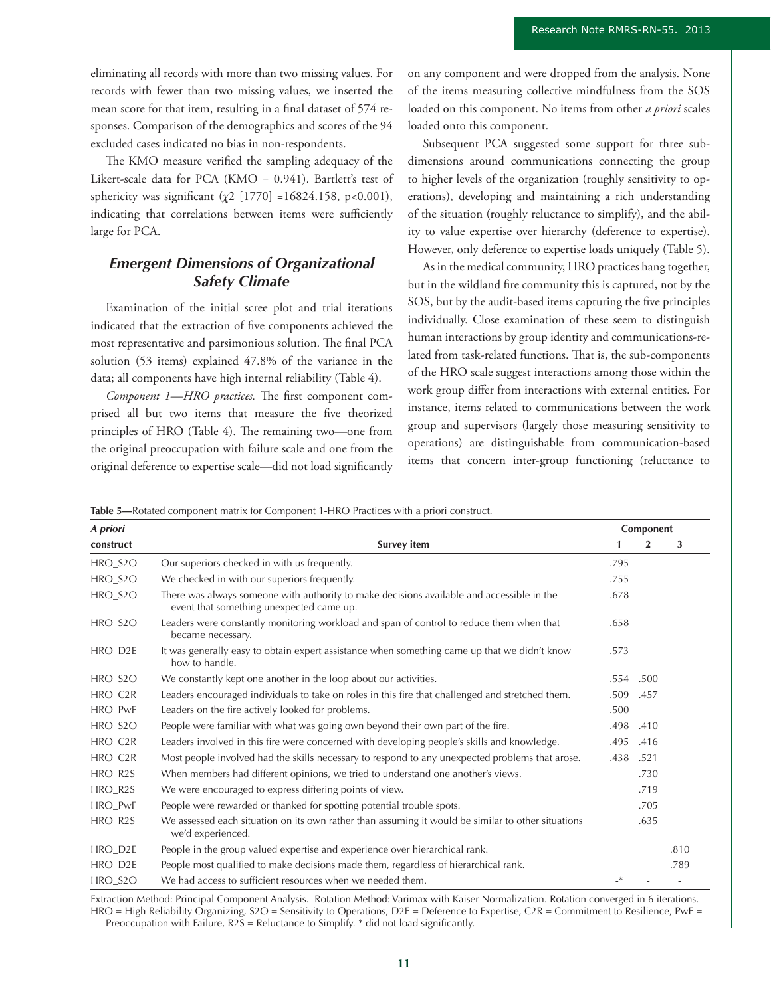eliminating all records with more than two missing values. For records with fewer than two missing values, we inserted the mean score for that item, resulting in a final dataset of 574 responses. Comparison of the demographics and scores of the 94 excluded cases indicated no bias in non-respondents.

The KMO measure verified the sampling adequacy of the Likert-scale data for PCA (KMO = 0.941). Bartlett's test of sphericity was significant (*χ*2 [1770] =16824.158, p<0.001), indicating that correlations between items were sufficiently large for PCA.

## *Emergent Dimensions of Organizational Safety Climate*

Examination of the initial scree plot and trial iterations indicated that the extraction of five components achieved the most representative and parsimonious solution. The final PCA solution (53 items) explained 47.8% of the variance in the data; all components have high internal reliability (Table 4).

*Component 1—HRO practices.* The first component comprised all but two items that measure the five theorized principles of HRO (Table 4). The remaining two—one from the original preoccupation with failure scale and one from the original deference to expertise scale—did not load significantly on any component and were dropped from the analysis. None of the items measuring collective mindfulness from the SOS loaded on this component. No items from other *a priori* scales loaded onto this component.

Subsequent PCA suggested some support for three subdimensions around communications connecting the group to higher levels of the organization (roughly sensitivity to operations), developing and maintaining a rich understanding of the situation (roughly reluctance to simplify), and the ability to value expertise over hierarchy (deference to expertise). However, only deference to expertise loads uniquely (Table 5).

As in the medical community, HRO practices hang together, but in the wildland fire community this is captured, not by the SOS, but by the audit-based items capturing the five principles individually. Close examination of these seem to distinguish human interactions by group identity and communications-related from task-related functions. That is, the sub-components of the HRO scale suggest interactions among those within the work group differ from interactions with external entities. For instance, items related to communications between the work group and supervisors (largely those measuring sensitivity to operations) are distinguishable from communication-based items that concern inter-group functioning (reluctance to

**Table 5—**Rotated component matrix for Component 1-HRO Practices with a priori construct.

| A priori             |                                                                                                                                       | Component |                |      |
|----------------------|---------------------------------------------------------------------------------------------------------------------------------------|-----------|----------------|------|
| construct            | <b>Survey item</b>                                                                                                                    | 1         | $\overline{2}$ | 3    |
| $HRO_2SO$            | Our superiors checked in with us frequently.                                                                                          | .795      |                |      |
| HRO_S2O              | We checked in with our superiors frequently.                                                                                          | .755      |                |      |
| HRO_S2O              | There was always someone with authority to make decisions available and accessible in the<br>event that something unexpected came up. | .678      |                |      |
| $HRO_2SO$            | Leaders were constantly monitoring workload and span of control to reduce them when that<br>became necessary.                         | .658      |                |      |
| HRO_D2E              | It was generally easy to obtain expert assistance when something came up that we didn't know<br>how to handle.                        | .573      |                |      |
| HRO S <sub>2</sub> O | We constantly kept one another in the loop about our activities.                                                                      | .554      | .500           |      |
| HRO_C2R              | Leaders encouraged individuals to take on roles in this fire that challenged and stretched them.                                      | .509      | .457           |      |
| HRO_PwF              | Leaders on the fire actively looked for problems.                                                                                     | .500      |                |      |
| HRO_S2O              | People were familiar with what was going own beyond their own part of the fire.                                                       | .498      | .410           |      |
| HRO_C2R              | Leaders involved in this fire were concerned with developing people's skills and knowledge.                                           | .495      | .416           |      |
| HRO_C2R              | Most people involved had the skills necessary to respond to any unexpected problems that arose.                                       | .438      | .521           |      |
| HRO_R2S              | When members had different opinions, we tried to understand one another's views.                                                      |           | .730           |      |
| HRO_R2S              | We were encouraged to express differing points of view.                                                                               |           | .719           |      |
| HRO_PwF              | People were rewarded or thanked for spotting potential trouble spots.                                                                 |           | .705           |      |
| HRO_R2S              | We assessed each situation on its own rather than assuming it would be similar to other situations<br>we'd experienced.               |           | .635           |      |
| HRO_D2E              | People in the group valued expertise and experience over hierarchical rank.                                                           |           |                | .810 |
| HRO_D2E              | People most qualified to make decisions made them, regardless of hierarchical rank.                                                   |           |                | .789 |
| HRO_S2O              | We had access to sufficient resources when we needed them.                                                                            | $\cdot^*$ |                |      |

Extraction Method: Principal Component Analysis. Rotation Method: Varimax with Kaiser Normalization. Rotation converged in 6 iterations. HRO = High Reliability Organizing, S2O = Sensitivity to Operations, D2E = Deference to Expertise, C2R = Commitment to Resilience, PwF = Preoccupation with Failure, R2S = Reluctance to Simplify. \* did not load significantly.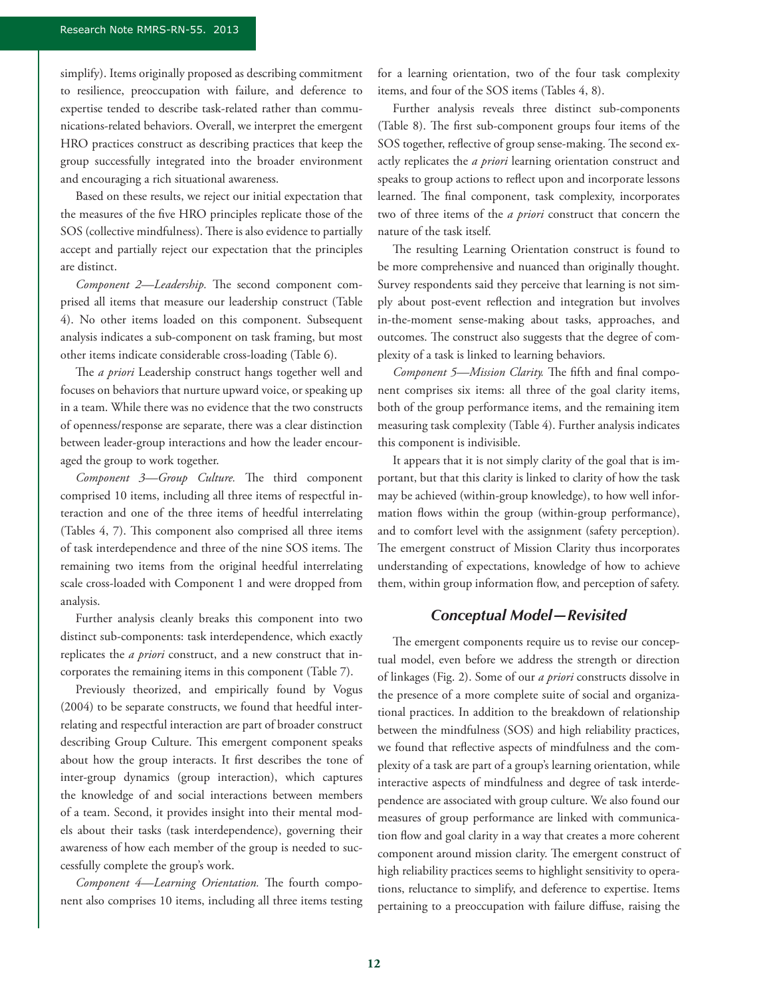simplify). Items originally proposed as describing commitment to resilience, preoccupation with failure, and deference to expertise tended to describe task-related rather than communications-related behaviors. Overall, we interpret the emergent HRO practices construct as describing practices that keep the group successfully integrated into the broader environment and encouraging a rich situational awareness.

Based on these results, we reject our initial expectation that the measures of the five HRO principles replicate those of the SOS (collective mindfulness). There is also evidence to partially accept and partially reject our expectation that the principles are distinct.

*Component 2—Leadership.* The second component comprised all items that measure our leadership construct (Table 4). No other items loaded on this component. Subsequent analysis indicates a sub-component on task framing, but most other items indicate considerable cross-loading (Table 6).

The *a priori* Leadership construct hangs together well and focuses on behaviors that nurture upward voice, or speaking up in a team. While there was no evidence that the two constructs of openness/response are separate, there was a clear distinction between leader-group interactions and how the leader encouraged the group to work together.

*Component 3—Group Culture.* The third component comprised 10 items, including all three items of respectful interaction and one of the three items of heedful interrelating (Tables 4, 7). This component also comprised all three items of task interdependence and three of the nine SOS items. The remaining two items from the original heedful interrelating scale cross-loaded with Component 1 and were dropped from analysis.

Further analysis cleanly breaks this component into two distinct sub-components: task interdependence, which exactly replicates the *a priori* construct, and a new construct that incorporates the remaining items in this component (Table 7).

Previously theorized, and empirically found by Vogus (2004) to be separate constructs, we found that heedful interrelating and respectful interaction are part of broader construct describing Group Culture. This emergent component speaks about how the group interacts. It first describes the tone of inter-group dynamics (group interaction), which captures the knowledge of and social interactions between members of a team. Second, it provides insight into their mental models about their tasks (task interdependence), governing their awareness of how each member of the group is needed to successfully complete the group's work.

*Component 4—Learning Orientation.* The fourth component also comprises 10 items, including all three items testing for a learning orientation, two of the four task complexity items, and four of the SOS items (Tables 4, 8).

Further analysis reveals three distinct sub-components (Table 8). The first sub-component groups four items of the SOS together, reflective of group sense-making. The second exactly replicates the *a priori* learning orientation construct and speaks to group actions to reflect upon and incorporate lessons learned. The final component, task complexity, incorporates two of three items of the *a priori* construct that concern the nature of the task itself.

The resulting Learning Orientation construct is found to be more comprehensive and nuanced than originally thought. Survey respondents said they perceive that learning is not simply about post-event reflection and integration but involves in-the-moment sense-making about tasks, approaches, and outcomes. The construct also suggests that the degree of complexity of a task is linked to learning behaviors.

*Component 5—Mission Clarity.* The fifth and final component comprises six items: all three of the goal clarity items, both of the group performance items, and the remaining item measuring task complexity (Table 4). Further analysis indicates this component is indivisible.

It appears that it is not simply clarity of the goal that is important, but that this clarity is linked to clarity of how the task may be achieved (within-group knowledge), to how well information flows within the group (within-group performance), and to comfort level with the assignment (safety perception). The emergent construct of Mission Clarity thus incorporates understanding of expectations, knowledge of how to achieve them, within group information flow, and perception of safety.

## *Conceptual Model—Revisited*

The emergent components require us to revise our conceptual model, even before we address the strength or direction of linkages (Fig. 2). Some of our *a priori* constructs dissolve in the presence of a more complete suite of social and organizational practices. In addition to the breakdown of relationship between the mindfulness (SOS) and high reliability practices, we found that reflective aspects of mindfulness and the complexity of a task are part of a group's learning orientation, while interactive aspects of mindfulness and degree of task interdependence are associated with group culture. We also found our measures of group performance are linked with communication flow and goal clarity in a way that creates a more coherent component around mission clarity. The emergent construct of high reliability practices seems to highlight sensitivity to operations, reluctance to simplify, and deference to expertise. Items pertaining to a preoccupation with failure diffuse, raising the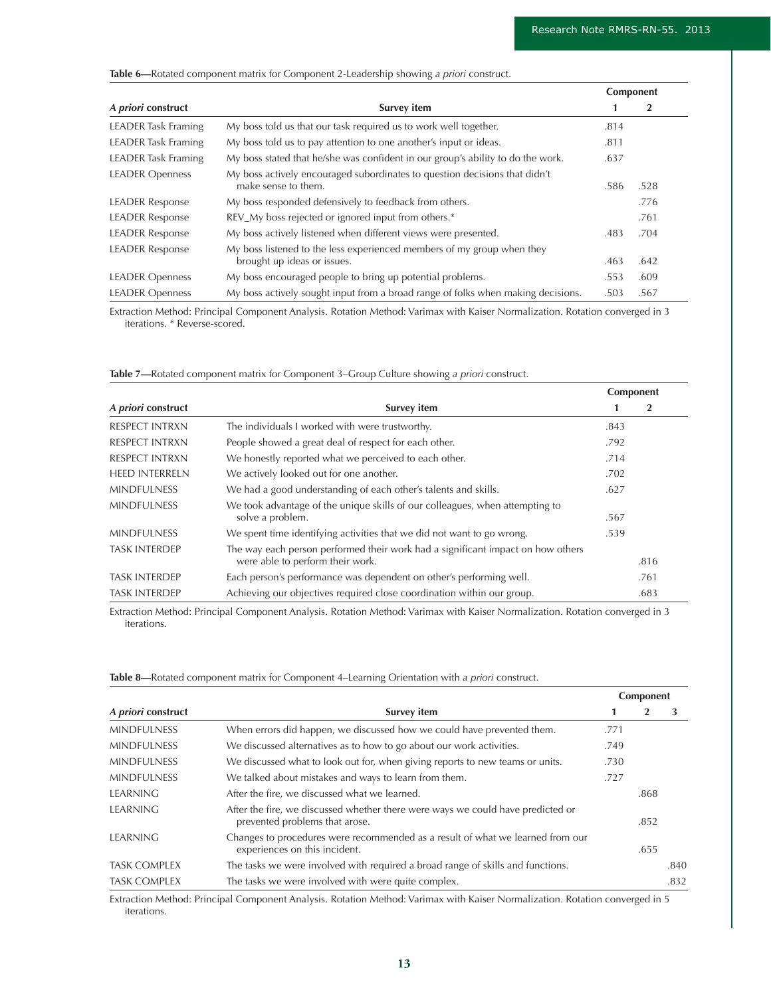#### **Table 6—**Rotated component matrix for Component 2-Leadership showing *a priori* construct.

|                            |                                                                                                       |      | Component |
|----------------------------|-------------------------------------------------------------------------------------------------------|------|-----------|
| A priori construct         | Survey item                                                                                           |      | 2         |
| <b>LEADER</b> Task Framing | My boss told us that our task required us to work well together.                                      | .814 |           |
| <b>LEADER Task Framing</b> | My boss told us to pay attention to one another's input or ideas.                                     | .811 |           |
| <b>LEADER</b> Task Framing | My boss stated that he/she was confident in our group's ability to do the work.                       | .637 |           |
| <b>LEADER Openness</b>     | My boss actively encouraged subordinates to question decisions that didn't<br>make sense to them.     | .586 | .528      |
| <b>LEADER Response</b>     | My boss responded defensively to feedback from others.                                                |      | .776      |
| <b>LEADER Response</b>     | REV_My boss rejected or ignored input from others.*                                                   |      | .761      |
| <b>LEADER Response</b>     | My boss actively listened when different views were presented.                                        | .483 | .704      |
| <b>LEADER Response</b>     | My boss listened to the less experienced members of my group when they<br>brought up ideas or issues. | .463 | .642      |
| <b>LEADER Openness</b>     | My boss encouraged people to bring up potential problems.                                             | .553 | .609      |
| <b>LEADER Openness</b>     | My boss actively sought input from a broad range of folks when making decisions.                      | .503 | .567      |

Extraction Method: Principal Component Analysis. Rotation Method: Varimax with Kaiser Normalization. Rotation converged in 3 iterations. \* Reverse-scored.

|                       |                                                                                                                     | Component |      |
|-----------------------|---------------------------------------------------------------------------------------------------------------------|-----------|------|
| A priori construct    | <b>Survey item</b>                                                                                                  |           | 2    |
| <b>RESPECT INTRXN</b> | The individuals I worked with were trustworthy.                                                                     | .843      |      |
| <b>RESPECT INTRXN</b> | People showed a great deal of respect for each other.                                                               | .792      |      |
| <b>RESPECT INTRXN</b> | We honestly reported what we perceived to each other.                                                               | .714      |      |
| <b>HEED INTERRELN</b> | We actively looked out for one another.                                                                             | .702      |      |
| <b>MINDEULNESS</b>    | We had a good understanding of each other's talents and skills.                                                     | .627      |      |
| <b>MINDFULNESS</b>    | We took advantage of the unique skills of our colleagues, when attempting to<br>solve a problem.                    | .567      |      |
| <b>MINDFULNESS</b>    | We spent time identifying activities that we did not want to go wrong.                                              | .539      |      |
| <b>TASK INTERDEP</b>  | The way each person performed their work had a significant impact on how others<br>were able to perform their work. |           | .816 |
| <b>TASK INTERDEP</b>  | Each person's performance was dependent on other's performing well.                                                 |           | .761 |
| <b>TASK INTERDEP</b>  | Achieving our objectives required close coordination within our group.                                              |           | .683 |

**Table 7—**Rotated component matrix for Component 3–Group Culture showing *a priori* construct.

Extraction Method: Principal Component Analysis. Rotation Method: Varimax with Kaiser Normalization. Rotation converged in 3 iterations.

**Table 8—**Rotated component matrix for Component 4–Learning Orientation with *a priori* construct.

|                     | Survey item                                                                                                       |      |      | Component |  |  |
|---------------------|-------------------------------------------------------------------------------------------------------------------|------|------|-----------|--|--|
| A priori construct  |                                                                                                                   |      |      | 3         |  |  |
| <b>MINDFULNESS</b>  | When errors did happen, we discussed how we could have prevented them.                                            | .771 |      |           |  |  |
| <b>MINDFULNESS</b>  | We discussed alternatives as to how to go about our work activities.                                              | .749 |      |           |  |  |
| <b>MINDFULNESS</b>  | We discussed what to look out for, when giving reports to new teams or units.                                     | .730 |      |           |  |  |
| <b>MINDFULNESS</b>  | We talked about mistakes and ways to learn from them.                                                             | .727 |      |           |  |  |
| <b>LEARNING</b>     | After the fire, we discussed what we learned.                                                                     |      | .868 |           |  |  |
| <b>LEARNING</b>     | After the fire, we discussed whether there were ways we could have predicted or<br>prevented problems that arose. |      | .852 |           |  |  |
| <b>LEARNING</b>     | Changes to procedures were recommended as a result of what we learned from our<br>experiences on this incident.   |      | .655 |           |  |  |
| <b>TASK COMPLEX</b> | The tasks we were involved with required a broad range of skills and functions.                                   |      |      | .840      |  |  |
| <b>TASK COMPLEX</b> | The tasks we were involved with were quite complex.                                                               |      |      | .832      |  |  |

Extraction Method: Principal Component Analysis. Rotation Method: Varimax with Kaiser Normalization. Rotation converged in 5 iterations.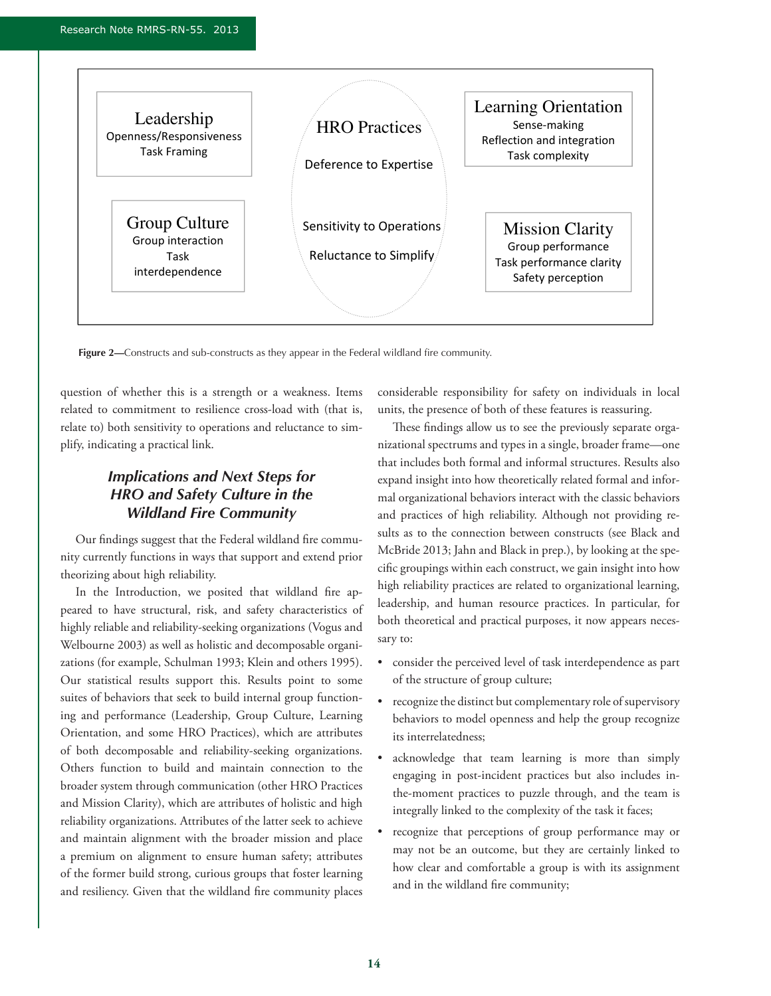

**Figure 2—**Constructs and sub-constructs as they appear in the Federal wildland fire community.

question of whether this is a strength or a weakness. Items related to commitment to resilience cross-load with (that is, relate to) both sensitivity to operations and reluctance to simplify, indicating a practical link.

## *Implications and Next Steps for HRO and Safety Culture in the Wildland Fire Community*

Our findings suggest that the Federal wildland fire community currently functions in ways that support and extend prior theorizing about high reliability.

In the Introduction, we posited that wildland fire appeared to have structural, risk, and safety characteristics of highly reliable and reliability-seeking organizations (Vogus and Welbourne 2003) as well as holistic and decomposable organizations (for example, Schulman 1993; Klein and others 1995). Our statistical results support this. Results point to some suites of behaviors that seek to build internal group functioning and performance (Leadership, Group Culture, Learning Orientation, and some HRO Practices), which are attributes of both decomposable and reliability-seeking organizations. Others function to build and maintain connection to the broader system through communication (other HRO Practices and Mission Clarity), which are attributes of holistic and high reliability organizations. Attributes of the latter seek to achieve and maintain alignment with the broader mission and place a premium on alignment to ensure human safety; attributes of the former build strong, curious groups that foster learning and resiliency. Given that the wildland fire community places considerable responsibility for safety on individuals in local units, the presence of both of these features is reassuring.

These findings allow us to see the previously separate organizational spectrums and types in a single, broader frame—one that includes both formal and informal structures. Results also expand insight into how theoretically related formal and informal organizational behaviors interact with the classic behaviors and practices of high reliability. Although not providing results as to the connection between constructs (see Black and McBride 2013; Jahn and Black in prep.), by looking at the specific groupings within each construct, we gain insight into how high reliability practices are related to organizational learning, leadership, and human resource practices. In particular, for both theoretical and practical purposes, it now appears necessary to:

- • consider the perceived level of task interdependence as part of the structure of group culture;
- recognize the distinct but complementary role of supervisory behaviors to model openness and help the group recognize its interrelatedness;
- acknowledge that team learning is more than simply engaging in post-incident practices but also includes inthe-moment practices to puzzle through, and the team is integrally linked to the complexity of the task it faces;
- recognize that perceptions of group performance may or may not be an outcome, but they are certainly linked to how clear and comfortable a group is with its assignment and in the wildland fire community;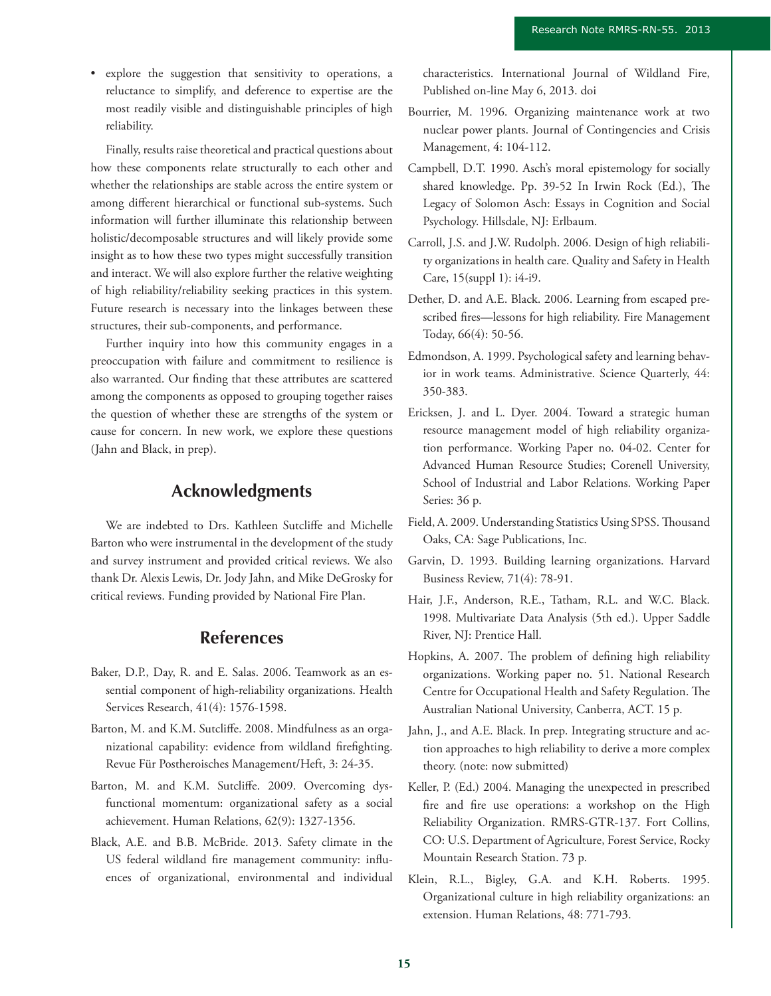• explore the suggestion that sensitivity to operations, a reluctance to simplify, and deference to expertise are the most readily visible and distinguishable principles of high reliability.

Finally, results raise theoretical and practical questions about how these components relate structurally to each other and whether the relationships are stable across the entire system or among different hierarchical or functional sub-systems. Such information will further illuminate this relationship between holistic/decomposable structures and will likely provide some insight as to how these two types might successfully transition and interact. We will also explore further the relative weighting of high reliability/reliability seeking practices in this system. Future research is necessary into the linkages between these structures, their sub-components, and performance.

Further inquiry into how this community engages in a preoccupation with failure and commitment to resilience is also warranted. Our finding that these attributes are scattered among the components as opposed to grouping together raises the question of whether these are strengths of the system or cause for concern. In new work, we explore these questions (Jahn and Black, in prep).

## **Acknowledgments**

We are indebted to Drs. Kathleen Sutcliffe and Michelle Barton who were instrumental in the development of the study and survey instrument and provided critical reviews. We also thank Dr. Alexis Lewis, Dr. Jody Jahn, and Mike DeGrosky for critical reviews. Funding provided by National Fire Plan.

## **References**

- Baker, D.P., Day, R. and E. Salas. 2006. Teamwork as an essential component of high-reliability organizations. Health Services Research, 41(4): 1576-1598.
- Barton, M. and K.M. Sutcliffe. 2008. Mindfulness as an organizational capability: evidence from wildland firefighting. Revue Für Postheroisches Management/Heft, 3: 24-35.
- Barton, M. and K.M. Sutcliffe. 2009. Overcoming dysfunctional momentum: organizational safety as a social achievement. Human Relations, 62(9): 1327-1356.
- Black, A.E. and B.B. McBride. 2013. Safety climate in the US federal wildland fire management community: influences of organizational, environmental and individual

characteristics. International Journal of Wildland Fire, Published on-line May 6, 2013. doi

- Bourrier, M. 1996. Organizing maintenance work at two nuclear power plants. Journal of Contingencies and Crisis Management, 4: 104-112.
- Campbell, D.T. 1990. Asch's moral epistemology for socially shared knowledge. Pp. 39-52 In Irwin Rock (Ed.), The Legacy of Solomon Asch: Essays in Cognition and Social Psychology. Hillsdale, NJ: Erlbaum.
- Carroll, J.S. and J.W. Rudolph. 2006. Design of high reliability organizations in health care. Quality and Safety in Health Care, 15(suppl 1): i4-i9.
- Dether, D. and A.E. Black. 2006. Learning from escaped prescribed fires—lessons for high reliability. Fire Management Today, 66(4): 50-56.
- Edmondson, A. 1999. Psychological safety and learning behavior in work teams. Administrative. Science Quarterly, 44: 350-383.
- Ericksen, J. and L. Dyer. 2004. Toward a strategic human resource management model of high reliability organization performance. Working Paper no. 04-02. Center for Advanced Human Resource Studies; Corenell University, School of Industrial and Labor Relations. Working Paper Series: 36 p.
- Field, A. 2009. Understanding Statistics Using SPSS. Thousand Oaks, CA: Sage Publications, Inc.
- Garvin, D. 1993. Building learning organizations. Harvard Business Review, 71(4): 78-91.
- Hair, J.F., Anderson, R.E., Tatham, R.L. and W.C. Black. 1998. Multivariate Data Analysis (5th ed.). Upper Saddle River, NJ: Prentice Hall.
- Hopkins, A. 2007. The problem of defining high reliability organizations. Working paper no. 51. National Research Centre for Occupational Health and Safety Regulation. The Australian National University, Canberra, ACT. 15 p.
- Jahn, J., and A.E. Black. In prep. Integrating structure and action approaches to high reliability to derive a more complex theory. (note: now submitted)
- Keller, P. (Ed.) 2004. Managing the unexpected in prescribed fire and fire use operations: a workshop on the High Reliability Organization. RMRS-GTR-137. Fort Collins, CO: U.S. Department of Agriculture, Forest Service, Rocky Mountain Research Station. 73 p.
- Klein, R.L., Bigley, G.A. and K.H. Roberts. 1995. Organizational culture in high reliability organizations: an extension. Human Relations, 48: 771-793.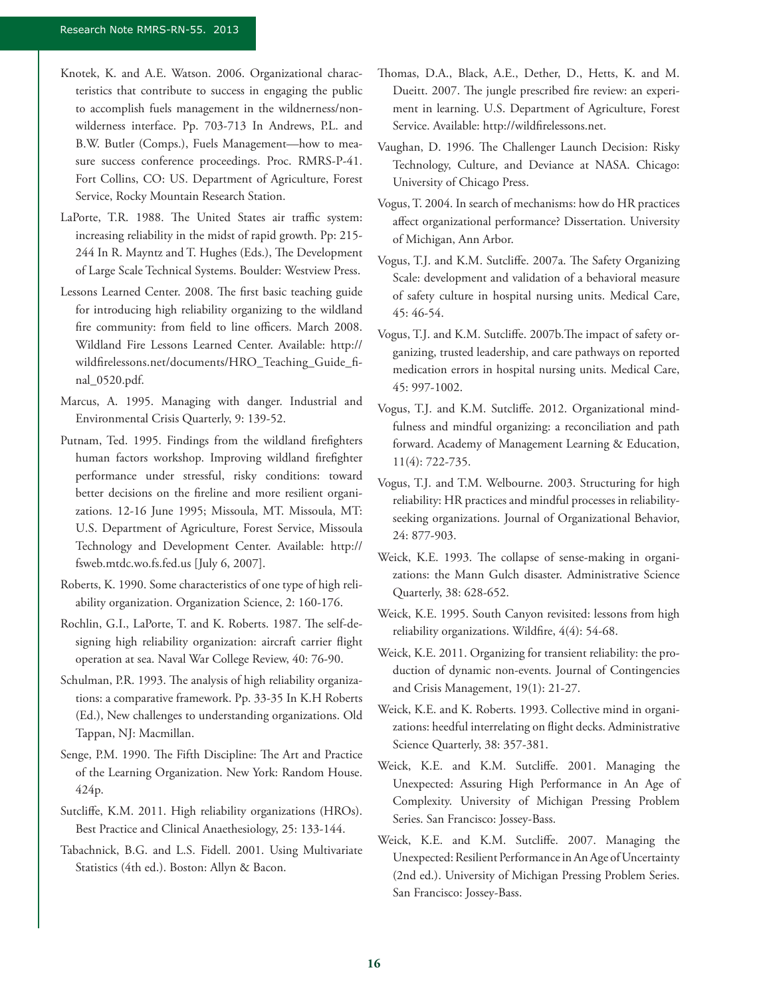- Knotek, K. and A.E. Watson. 2006. Organizational characteristics that contribute to success in engaging the public to accomplish fuels management in the wildnerness/nonwilderness interface. Pp. 703-713 In Andrews, P.L. and B.W. Butler (Comps.), Fuels Management—how to measure success conference proceedings. Proc. RMRS-P-41. Fort Collins, CO: US. Department of Agriculture, Forest Service, Rocky Mountain Research Station.
- LaPorte, T.R. 1988. The United States air traffic system: increasing reliability in the midst of rapid growth. Pp: 215- 244 In R. Mayntz and T. Hughes (Eds.), The Development of Large Scale Technical Systems. Boulder: Westview Press.
- Lessons Learned Center. 2008. The first basic teaching guide for introducing high reliability organizing to the wildland fire community: from field to line officers. March 2008. Wildland Fire Lessons Learned Center. Available: http:// wildfirelessons.net/documents/HRO\_Teaching\_Guide\_final\_0520.pdf.
- Marcus, A. 1995. Managing with danger. Industrial and Environmental Crisis Quarterly, 9: 139-52.
- Putnam, Ted. 1995. Findings from the wildland firefighters human factors workshop. Improving wildland firefighter performance under stressful, risky conditions: toward better decisions on the fireline and more resilient organizations. 12-16 June 1995; Missoula, MT. Missoula, MT: U.S. Department of Agriculture, Forest Service, Missoula Technology and Development Center. Available: http:// fsweb.mtdc.wo.fs.fed.us [July 6, 2007].
- Roberts, K. 1990. Some characteristics of one type of high reliability organization. Organization Science, 2: 160-176.
- Rochlin, G.I., LaPorte, T. and K. Roberts. 1987. The self-designing high reliability organization: aircraft carrier flight operation at sea. Naval War College Review, 40: 76-90.
- Schulman, P.R. 1993. The analysis of high reliability organizations: a comparative framework. Pp. 33-35 In K.H Roberts (Ed.), New challenges to understanding organizations. Old Tappan, NJ: Macmillan.
- Senge, P.M. 1990. The Fifth Discipline: The Art and Practice of the Learning Organization. New York: Random House. 424p.
- Sutcliffe, K.M. 2011. High reliability organizations (HROs). Best Practice and Clinical Anaethesiology, 25: 133-144.
- Tabachnick, B.G. and L.S. Fidell. 2001. Using Multivariate Statistics (4th ed.). Boston: Allyn & Bacon.
- Thomas, D.A., Black, A.E., Dether, D., Hetts, K. and M. Dueitt. 2007. The jungle prescribed fire review: an experiment in learning. U.S. Department of Agriculture, Forest Service. Available: http://wildfirelessons.net.
- Vaughan, D. 1996. The Challenger Launch Decision: Risky Technology, Culture, and Deviance at NASA. Chicago: University of Chicago Press.
- Vogus, T. 2004. In search of mechanisms: how do HR practices affect organizational performance? Dissertation. University of Michigan, Ann Arbor.
- Vogus, T.J. and K.M. Sutcliffe. 2007a. The Safety Organizing Scale: development and validation of a behavioral measure of safety culture in hospital nursing units. Medical Care, 45: 46-54.
- Vogus, T.J. and K.M. Sutcliffe. 2007b.The impact of safety organizing, trusted leadership, and care pathways on reported medication errors in hospital nursing units. Medical Care, 45: 997-1002.
- Vogus, T.J. and K.M. Sutcliffe. 2012. Organizational mindfulness and mindful organizing: a reconciliation and path forward. Academy of Management Learning & Education, 11(4): 722-735.
- Vogus, T.J. and T.M. Welbourne. 2003. Structuring for high reliability: HR practices and mindful processes in reliabilityseeking organizations. Journal of Organizational Behavior, 24: 877-903.
- Weick, K.E. 1993. The collapse of sense-making in organizations: the Mann Gulch disaster. Administrative Science Quarterly, 38: 628-652.
- Weick, K.E. 1995. South Canyon revisited: lessons from high reliability organizations. Wildfire, 4(4): 54-68.
- Weick, K.E. 2011. Organizing for transient reliability: the production of dynamic non-events. Journal of Contingencies and Crisis Management, 19(1): 21-27.
- Weick, K.E. and K. Roberts. 1993. Collective mind in organizations: heedful interrelating on flight decks. Administrative Science Quarterly, 38: 357-381.
- Weick, K.E. and K.M. Sutcliffe. 2001. Managing the Unexpected: Assuring High Performance in An Age of Complexity. University of Michigan Pressing Problem Series. San Francisco: Jossey-Bass.
- Weick, K.E. and K.M. Sutcliffe. 2007. Managing the Unexpected: Resilient Performance in An Age of Uncertainty (2nd ed.). University of Michigan Pressing Problem Series. San Francisco: Jossey-Bass.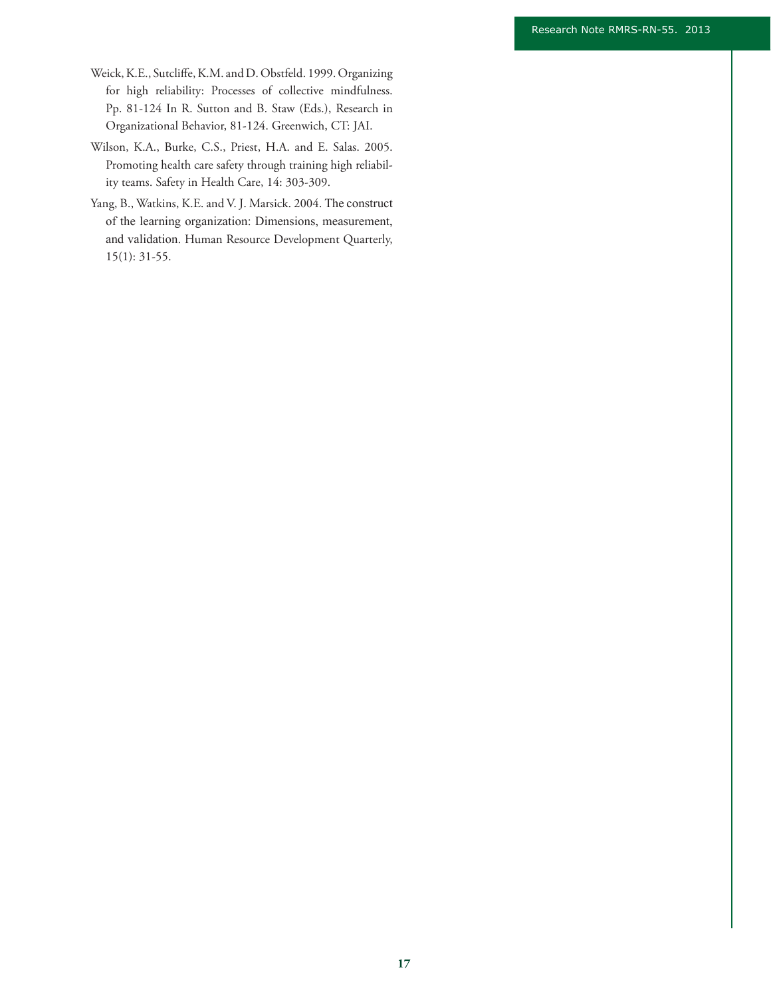- Weick, K.E., Sutcliffe, K.M. and D. Obstfeld. 1999. Organizing for high reliability: Processes of collective mindfulness. Pp. 81-124 In R. Sutton and B. Staw (Eds.), Research in Organizational Behavior, 81-124. Greenwich, CT: JAI.
- Wilson, K.A., Burke, C.S., Priest, H.A. and E. Salas. 2005. Promoting health care safety through training high reliability teams. Safety in Health Care, 14: 303-309.
- Yang, B., Watkins, K.E. and V. J. Marsick. 2004. The construct of the learning organization: Dimensions, measurement, and validation. Human Resource Development Quarterly, 15(1): 31-55.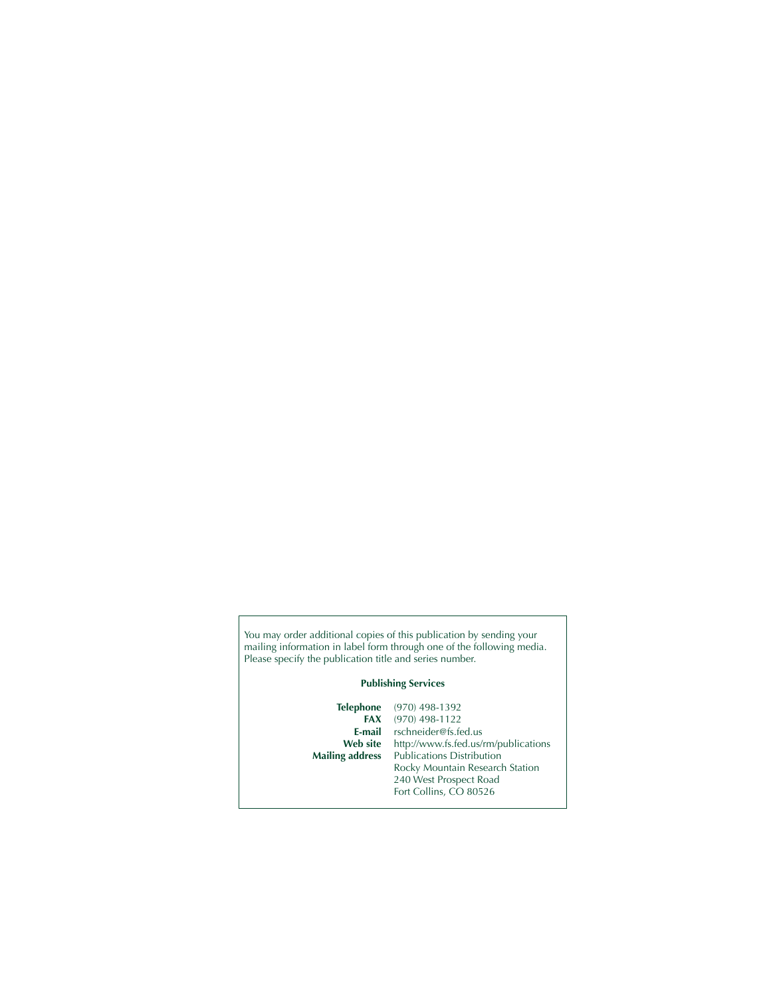You may order additional copies of this publication by sending your mailing information in label form through one of the following media. Please specify the publication title and series number.

#### **Publishing Services**

**Telephone** (970) 498-1392<br>**FAX** (970) 498-1122 **FAX** (970) 498-1122<br>**E-mail** rschneider@fs.fe **E-mail** rschneider@fs.fed.us<br>Web site http://www.fs.fed.us/r Web site http://www.fs.fed.us/rm/publications<br>
Mailing address Publications Distribution Publications Distribution Rocky Mountain Research Station 240 West Prospect Road Fort Collins, CO 80526